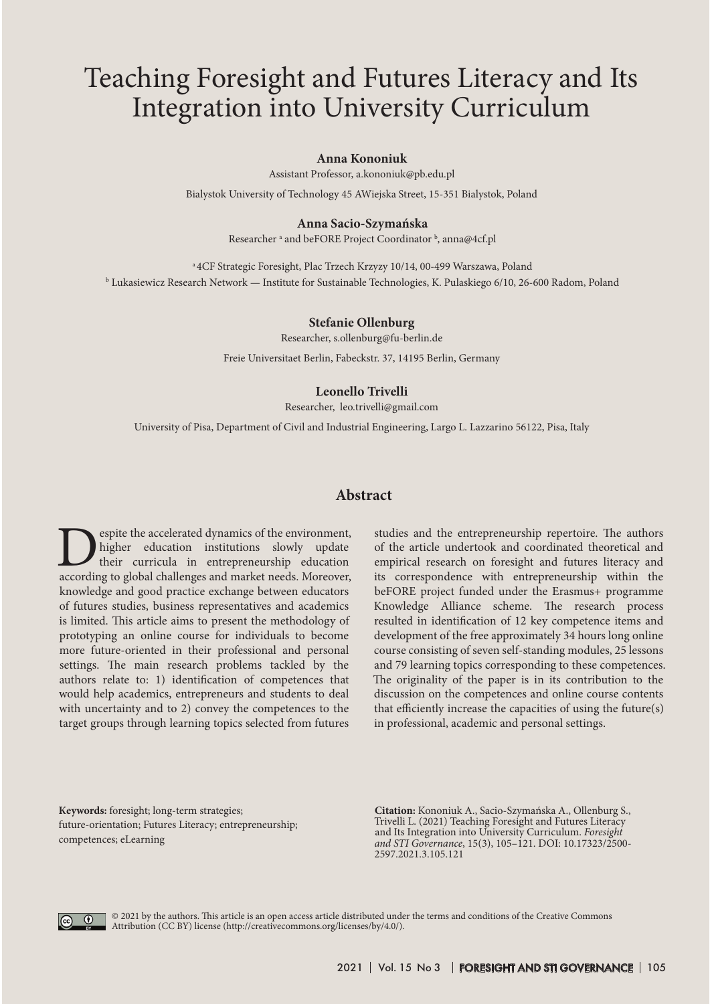# Teaching Foresight and Futures Literacy and Its Integration into University Curriculum

#### **Anna Kononiuk**

Assistant Professor, a.kononiuk@pb.edu.pl

Bialystok University of Technology 45 AWiejska Street, 15-351 Bialystok, Poland

#### **Anna Sacio-Szymańska**

Researcher <sup>a</sup> and beFORE Project Coordinator <sup>b</sup>, anna@4cf.pl

<sup>a</sup> 4CF Strategic Foresight, Plac Trzech Krzyzy 10/14, 00-499 Warszawa, Poland b Lukasiewicz Research Network — Institute for Sustainable Technologies, K. Pulaskiego 6/10, 26-600 Radom, Poland

#### **Stefanie Ollenburg**

Researcher, s.ollenburg@fu-berlin.de

Freie Universitaet Berlin, Fabeckstr. 37, 14195 Berlin, Germany

#### **Leonello Trivelli**

Researcher, leo.trivelli@gmail.com

University of Pisa, Department of Civil and Industrial Engineering, Largo L. Lazzarino 56122, Pisa, Italy

#### **Abstract**

**Example 18 Separate** dynamics of the environment, higher education institutions slowly update their curricula in entrepreneurship education according to global challenges and market needs. Moreover, higher education institutions slowly update their curricula in entrepreneurship education according to global challenges and market needs. Moreover, knowledge and good practice exchange between educators of futures studies, business representatives and academics is limited. This article aims to present the methodology of prototyping an online course for individuals to become more future-oriented in their professional and personal settings. The main research problems tackled by the authors relate to: 1) identification of competences that would help academics, entrepreneurs and students to deal with uncertainty and to 2) convey the competences to the target groups through learning topics selected from futures

studies and the entrepreneurship repertoire. The authors of the article undertook and coordinated theoretical and empirical research on foresight and futures literacy and its correspondence with entrepreneurship within the beFORE project funded under the Erasmus+ programme Knowledge Alliance scheme. The research process resulted in identification of 12 key competence items and development of the free approximately 34 hours long online course consisting of seven self-standing modules, 25 lessons and 79 learning topics corresponding to these competences. The originality of the paper is in its contribution to the discussion on the competences and online course contents that efficiently increase the capacities of using the future(s) in professional, academic and personal settings.

**Кeywords:** foresight; long-term strategies; future-orientation; Futures Literacy; entrepreneurship; competences; eLearning

**Citation:** Kononiuk A., Sacio-Szymańska A., Ollenburg S., Trivelli L. (2021) Teaching Foresight and Futures Literacy and Its Integration into University Curriculum. *Foresight and STI Governance*, 15(3), 105–121. DOI: 10.17323/2500- 2597.2021.3.105.121



© 2021 by the authors. This article is an open access article distributed under the terms and conditions of the Creative Commons Attribution (CC BY) license (http://creativecommons.org/licenses/by/4.0/).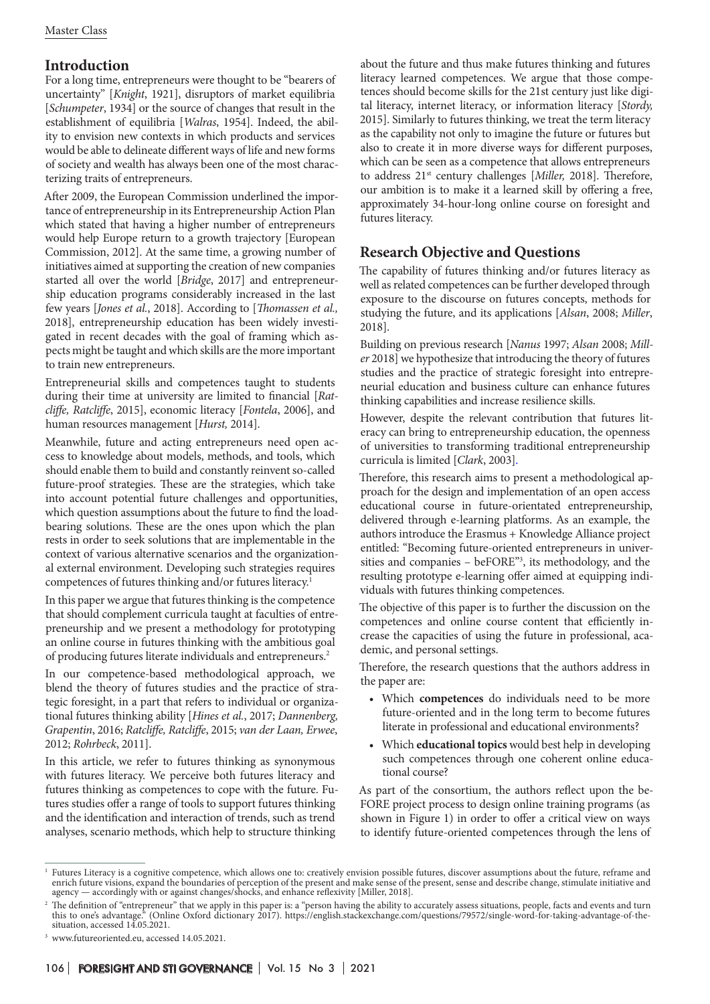# **Introduction**

For a long time, entrepreneurs were thought to be "bearers of uncertainty" [*Knight*, 1921], disruptors of market equilibria [*Schumpeter*, 1934] or the source of changes that result in the establishment of equilibria [*Walras*, 1954]. Indeed, the ability to envision new contexts in which products and services would be able to delineate different ways of life and new forms of society and wealth has always been one of the most characterizing traits of entrepreneurs.

After 2009, the European Commission underlined the importance of entrepreneurship in its Entrepreneurship Action Plan which stated that having a higher number of entrepreneurs would help Europe return to a growth trajectory [European Commission, 2012]. At the same time, a growing number of initiatives aimed at supporting the creation of new companies started all over the world [*Bridge*, 2017] and entrepreneurship education programs considerably increased in the last few years [*Jones et al.*, 2018]. According to [*Thomassen et al.,* 2018], entrepreneurship education has been widely investigated in recent decades with the goal of framing which aspects might be taught and which skills are the more important to train new entrepreneurs.

Entrepreneurial skills and competences taught to students during their time at university are limited to financial [*Ratcliffe, Ratcliffe*, 2015], economic literacy [*Fontela*, 2006], and human resources management [*Hurst,* 2014].

Meanwhile, future and acting entrepreneurs need open access to knowledge about models, methods, and tools, which should enable them to build and constantly reinvent so-called future-proof strategies. These are the strategies, which take into account potential future challenges and opportunities, which question assumptions about the future to find the loadbearing solutions. These are the ones upon which the plan rests in order to seek solutions that are implementable in the context of various alternative scenarios and the organizational external environment. Developing such strategies requires competences of futures thinking and/or futures literacy.<sup>1</sup>

In this paper we argue that futures thinking is the competence that should complement curricula taught at faculties of entrepreneurship and we present a methodology for prototyping an online course in futures thinking with the ambitious goal of producing futures literate individuals and entrepreneurs.2

In our competence-based methodological approach, we blend the theory of futures studies and the practice of strategic foresight, in a part that refers to individual or organizational futures thinking ability [*Hines et al.*, 2017; *Dannenberg, Grapentin*, 2016; *Ratcliffe, Ratcliffe*, 2015; *van der Laan, Erwee*, 2012; *Rohrbeck*, 2011].

In this article, we refer to futures thinking as synonymous with futures literacy. We perceive both futures literacy and futures thinking as competences to cope with the future. Futures studies offer a range of tools to support futures thinking and the identification and interaction of trends, such as trend analyses, scenario methods, which help to structure thinking

about the future and thus make futures thinking and futures literacy learned competences. We argue that those competences should become skills for the 21st century just like digital literacy, internet literacy, or information literacy [*Stordy,* 2015]. Similarly to futures thinking, we treat the term literacy as the capability not only to imagine the future or futures but also to create it in more diverse ways for different purposes, which can be seen as a competence that allows entrepreneurs to address 21st century challenges [*Miller,* 2018]. Therefore, our ambition is to make it a learned skill by offering a free, approximately 34-hour-long online course on foresight and futures literacy.

# **Research Objective and Questions**

The capability of futures thinking and/or futures literacy as well as related competences can be further developed through exposure to the discourse on futures concepts, methods for studying the future, and its applications [*Alsan*, 2008; *Miller*, 2018].

Building on previous research [*Nanus* 1997; *Alsan* 2008; *Miller* 2018] we hypothesize that introducing the theory of futures studies and the practice of strategic foresight into entrepreneurial education and business culture can enhance futures thinking capabilities and increase resilience skills.

However, despite the relevant contribution that futures literacy can bring to entrepreneurship education, the openness of universities to transforming traditional entrepreneurship curricula is limited [*Clark*, 2003].

Therefore, this research aims to present a methodological approach for the design and implementation of an open access educational course in future-orientated entrepreneurship, delivered through e-learning platforms. As an example, the authors introduce the Erasmus + Knowledge Alliance project entitled: "Becoming future-oriented entrepreneurs in universities and companies – beFORE"3 , its methodology, and the resulting prototype e-learning offer aimed at equipping individuals with futures thinking competences.

The objective of this paper is to further the discussion on the competences and online course content that efficiently increase the capacities of using the future in professional, academic, and personal settings.

Therefore, the research questions that the authors address in the paper are:

- • Which **competences** do individuals need to be more future-oriented and in the long term to become futures literate in professional and educational environments?
- • Which **educational topics** would best help in developing such competences through one coherent online educational course?

As part of the consortium, the authors reflect upon the be-FORE project process to design online training programs (as shown in Figure 1) in order to offer a critical view on ways to identify future-oriented competences through the lens of

<sup>&</sup>lt;sup>1</sup> Futures Literacy is a cognitive competence, which allows one to: creatively envision possible futures, discover assumptions about the future, reframe and enrich future visions, expand the boundaries of perception of the present and make sense of the present, sense and describe change, stimulate initiative and agency — accordingly with or against changes/shocks, and enhance reflexivity [Miller, 2018].

 $^2$  The definition of "entrepreneur" that we apply in this paper is: a "person having the ability to accurately assess situations, people, facts and events and turn this to one's advantage." (Online Oxford dictionary 2017). https://english.stackexchange.com/questions/79572/single-word-for-taking-advantage-of-thesituation, accessed 14.05.2021.

<sup>3</sup> www.futureoriented.eu, accessed 14.05.2021.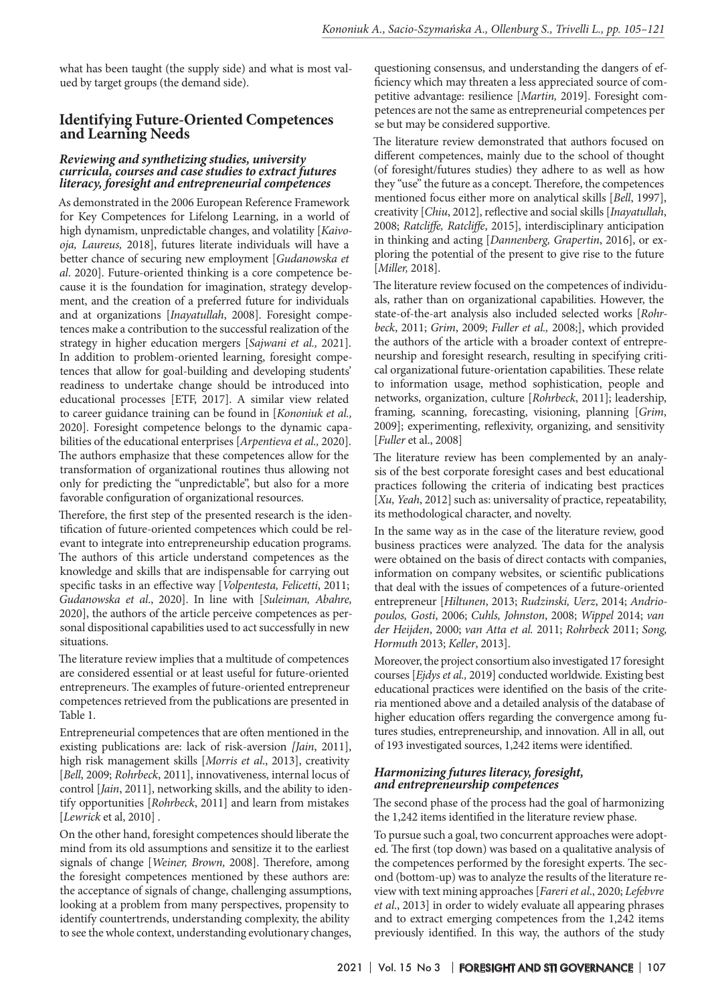what has been taught (the supply side) and what is most valued by target groups (the demand side).

## **Identifying Future-Oriented Competences and Learning Needs**

#### *Reviewing and synthetizing studies, university curricula, courses and case studies to extract futures literacy, foresight and entrepreneurial competences*

As demonstrated in the 2006 European Reference Framework for Key Competences for Lifelong Learning, in a world of high dynamism, unpredictable changes, and volatility [*Kaivooja, Laureus,* 2018], futures literate individuals will have a better chance of securing new employment [*Gudanowska et al*. 2020]. Future-oriented thinking is a core competence because it is the foundation for imagination, strategy development, and the creation of a preferred future for individuals and at organizations [*Inayatullah*, 2008]. Foresight competences make a contribution to the successful realization of the strategy in higher education mergers [*Sajwani et al.,* 2021]. In addition to problem-oriented learning, foresight competences that allow for goal-building and developing students' readiness to undertake change should be introduced into educational processes [ETF, 2017]. A similar view related to career guidance training can be found in [*Kononiuk et al.,* 2020]. Foresight competence belongs to the dynamic capabilities of the educational enterprises [*Arpentieva et al.,* 2020]. The authors emphasize that these competences allow for the transformation of organizational routines thus allowing not only for predicting the "unpredictable", but also for a more favorable configuration of organizational resources.

Therefore, the first step of the presented research is the identification of future-oriented competences which could be relevant to integrate into entrepreneurship education programs. The authors of this article understand competences as the knowledge and skills that are indispensable for carrying out specific tasks in an effective way [*Volpentesta, Felicetti*, 2011; *Gudanowska et al*., 2020]. In line with [*Suleiman, Abahre,* 2020], the authors of the article perceive competences as personal dispositional capabilities used to act successfully in new situations.

The literature review implies that a multitude of competences are considered essential or at least useful for future-oriented entrepreneurs. The examples of future-oriented entrepreneur competences retrieved from the publications are presented in Table 1.

Entrepreneurial competences that are often mentioned in the existing publications are: lack of risk-aversion *[Jain*, 2011], high risk management skills [*Morris et al*., 2013], creativity [*Bell*, 2009; *Rohrbeck*, 2011], innovativeness, internal locus of control [*Jain*, 2011], networking skills, and the ability to identify opportunities [*Rohrbeck*, 2011] and learn from mistakes [*Lewrick* et al, 2010] .

On the other hand, foresight competences should liberate the mind from its old assumptions and sensitize it to the earliest signals of change [*Weiner, Brown,* 2008]. Therefore, among the foresight competences mentioned by these authors are: the acceptance of signals of change, challenging assumptions, looking at a problem from many perspectives, propensity to identify countertrends, understanding complexity, the ability to see the whole context, understanding evolutionary changes, questioning consensus, and understanding the dangers of efficiency which may threaten a less appreciated source of competitive advantage: resilience [*Martin,* 2019]. Foresight competences are not the same as entrepreneurial competences per se but may be considered supportive.

The literature review demonstrated that authors focused on different competences, mainly due to the school of thought (of foresight/futures studies) they adhere to as well as how they "use" the future as a concept. Therefore, the competences mentioned focus either more on analytical skills [*Bell*, 1997], creativity [*Chiu*, 2012], reflective and social skills [*Inayatullah*, 2008; *Ratcliffe, Ratcliffe*, 2015], interdisciplinary anticipation in thinking and acting [*Dannenberg, Grapertin*, 2016], or exploring the potential of the present to give rise to the future [*Miller,* 2018].

The literature review focused on the competences of individuals, rather than on organizational capabilities. However, the state-of-the-art analysis also included selected works [*Rohrbeck*, 2011; *Grim*, 2009; *Fuller et al.,* 2008;], which provided the authors of the article with a broader context of entrepreneurship and foresight research, resulting in specifying critical organizational future-orientation capabilities. These relate to information usage, method sophistication, people and networks, organization, culture [*Rohrbeck*, 2011]; leadership, framing, scanning, forecasting, visioning, planning [*Grim*, 2009]; experimenting, reflexivity, organizing, and sensitivity [*Fuller* et al., 2008]

The literature review has been complemented by an analysis of the best corporate foresight cases and best educational practices following the criteria of indicating best practices [*Xu, Yeah*, 2012] such as: universality of practice, repeatability, its methodological character, and novelty.

In the same way as in the case of the literature review, good business practices were analyzed. The data for the analysis were obtained on the basis of direct contacts with companies, information on company websites, or scientific publications that deal with the issues of competences of a future-oriented entrepreneur [*Hiltunen*, 2013; *Rudzinski, Uerz*, 2014; *Andriopoulos, Gosti*, 2006; *Cuhls, Johnston*, 2008; *Wippel* 2014; *van der Heijden*, 2000; *van Atta et al.* 2011; *Rohrbeck* 2011; *Song, Hormuth* 2013; *Keller*, 2013].

Moreover, the project consortium also investigated 17 foresight courses [*Ejdys et al.,* 2019] conducted worldwide. Existing best educational practices were identified on the basis of the criteria mentioned above and a detailed analysis of the database of higher education offers regarding the convergence among futures studies, entrepreneurship, and innovation. All in all, out of 193 investigated sources, 1,242 items were identified.

#### *Harmonizing futures literacy, foresight, and entrepreneurship competences*

The second phase of the process had the goal of harmonizing the 1,242 items identified in the literature review phase.

To pursue such a goal, two concurrent approaches were adopted. The first (top down) was based on a qualitative analysis of the competences performed by the foresight experts. The second (bottom-up) was to analyze the results of the literature review with text mining approaches [*Fareri et al*., 2020; *Lefebvre et al*., 2013] in order to widely evaluate all appearing phrases and to extract emerging competences from the 1,242 items previously identified. In this way, the authors of the study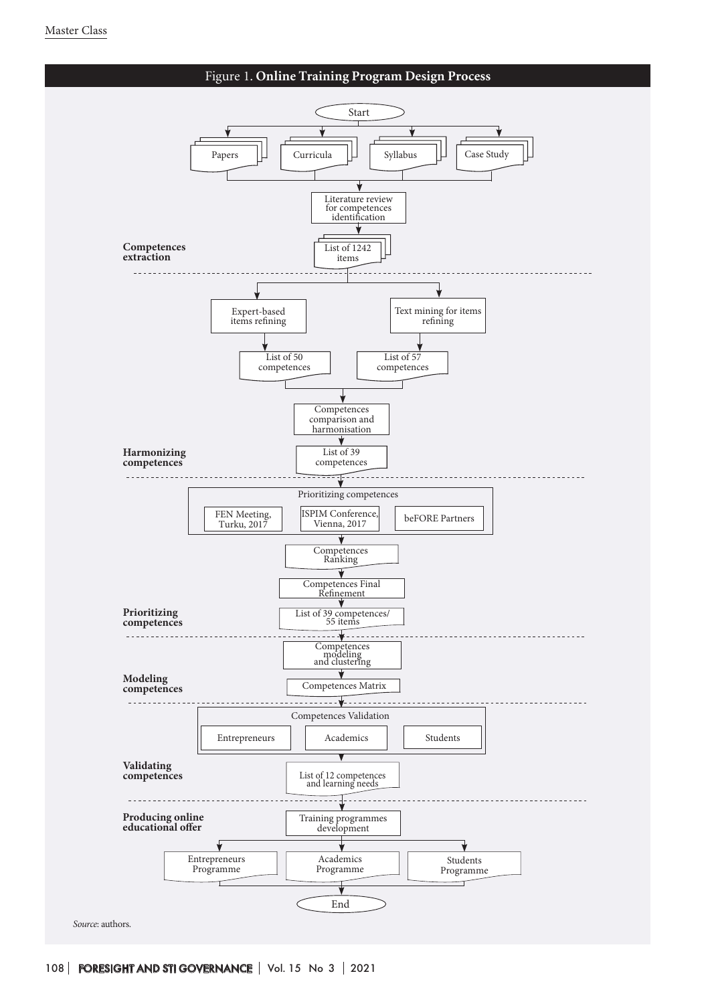

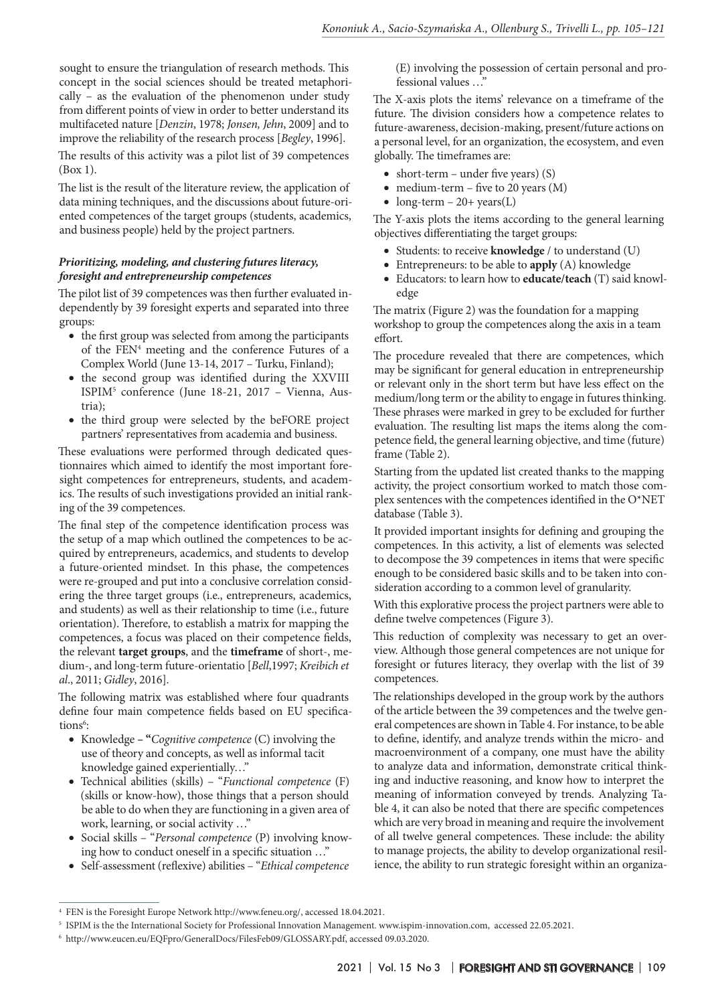sought to ensure the triangulation of research methods. This concept in the social sciences should be treated metaphorically – as the evaluation of the phenomenon under study from different points of view in order to better understand its multifaceted nature [*Denzin*, 1978; *Jonsen, Jehn*, 2009] and to improve the reliability of the research process [*Begley*, 1996].

The results of this activity was a pilot list of 39 competences (Box 1).

The list is the result of the literature review, the application of data mining techniques, and the discussions about future-oriented competences of the target groups (students, academics, and business people) held by the project partners.

#### *Prioritizing, modeling, and clustering futures literacy, foresight and entrepreneurship competences*

The pilot list of 39 competences was then further evaluated independently by 39 foresight experts and separated into three groups:

- the first group was selected from among the participants of the FEN<sup>4</sup> meeting and the conference Futures of a Complex World (June 13-14, 2017 – Turku, Finland);
- the second group was identified during the XXVIII ISPIM5 conference (June 18-21, 2017 – Vienna, Austria);
- the third group were selected by the beFORE project partners' representatives from academia and business.

These evaluations were performed through dedicated questionnaires which aimed to identify the most important foresight competences for entrepreneurs, students, and academics. The results of such investigations provided an initial ranking of the 39 competences.

The final step of the competence identification process was the setup of a map which outlined the competences to be acquired by entrepreneurs, academics, and students to develop a future-oriented mindset. In this phase, the competences were re-grouped and put into a conclusive correlation considering the three target groups (i.e., entrepreneurs, academics, and students) as well as their relationship to time (i.e., future orientation). Therefore, to establish a matrix for mapping the competences, a focus was placed on their competence fields, the relevant **target groups**, and the **timeframe** of short-, medium-, and long-term future-orientatio [*Bell*,1997; *Kreibich et al*., 2011; *Gidley*, 2016].

The following matrix was established where four quadrants define four main competence fields based on EU specifications<sup>6</sup>:

- • Knowledge **"***Cognitive competence* (C) involving the use of theory and concepts, as well as informal tacit knowledge gained experientially…"
- • Technical abilities (skills) "*Functional competence* (F) (skills or know-how), those things that a person should be able to do when they are functioning in a given area of work, learning, or social activity …"
- • Social skills "*Personal competence* (P) involving knowing how to conduct oneself in a specific situation …"
- • Self-assessment (reflexive) abilities "*Ethical competence*

(E) involving the possession of certain personal and professional values …"

The X-axis plots the items' relevance on a timeframe of the future. The division considers how a competence relates to future-awareness, decision-making, present/future actions on a personal level, for an organization, the ecosystem, and even globally. The timeframes are:

- short-term under five years)  $(S)$
- medium-term five to 20 years  $(M)$
- $\text{long-term} 20 + \text{years}(L)$

The Y-axis plots the items according to the general learning objectives differentiating the target groups:

- Students: to receive **knowledge** / to understand (U)
- • Entrepreneurs: to be able to **apply** (A) knowledge
- • Educators: to learn how to **educate/teach** (T) said knowledge

The matrix (Figure 2) was the foundation for a mapping workshop to group the competences along the axis in a team effort.

The procedure revealed that there are competences, which may be significant for general education in entrepreneurship or relevant only in the short term but have less effect on the medium/long term or the ability to engage in futures thinking. These phrases were marked in grey to be excluded for further evaluation. The resulting list maps the items along the competence field, the general learning objective, and time (future) frame (Table 2).

Starting from the updated list created thanks to the mapping activity, the project consortium worked to match those complex sentences with the competences identified in the O\*NET database (Table 3).

It provided important insights for defining and grouping the competences. In this activity, a list of elements was selected to decompose the 39 competences in items that were specific enough to be considered basic skills and to be taken into consideration according to a common level of granularity.

With this explorative process the project partners were able to define twelve competences (Figure 3).

This reduction of complexity was necessary to get an overview. Although those general competences are not unique for foresight or futures literacy, they overlap with the list of 39 competences.

The relationships developed in the group work by the authors of the article between the 39 competences and the twelve general competences are shown in Table 4. For instance, to be able to define, identify, and analyze trends within the micro- and macroenvironment of a company, one must have the ability to analyze data and information, demonstrate critical thinking and inductive reasoning, and know how to interpret the meaning of information conveyed by trends. Analyzing Table 4, it can also be noted that there are specific competences which are very broad in meaning and require the involvement of all twelve general competences. These include: the ability to manage projects, the ability to develop organizational resilience, the ability to run strategic foresight within an organiza-

<sup>4</sup> FEN is the Foresight Europe Network http://www.feneu.org/, accessed 18.04.2021.

<sup>5</sup> ISPIM is the the International Society for Professional Innovation Management. www.ispim-innovation.com, accessed 22.05.2021.

<sup>6</sup> http://www.eucen.eu/EQFpro/GeneralDocs/FilesFeb09/GLOSSARY.pdf, accessed 09.03.2020.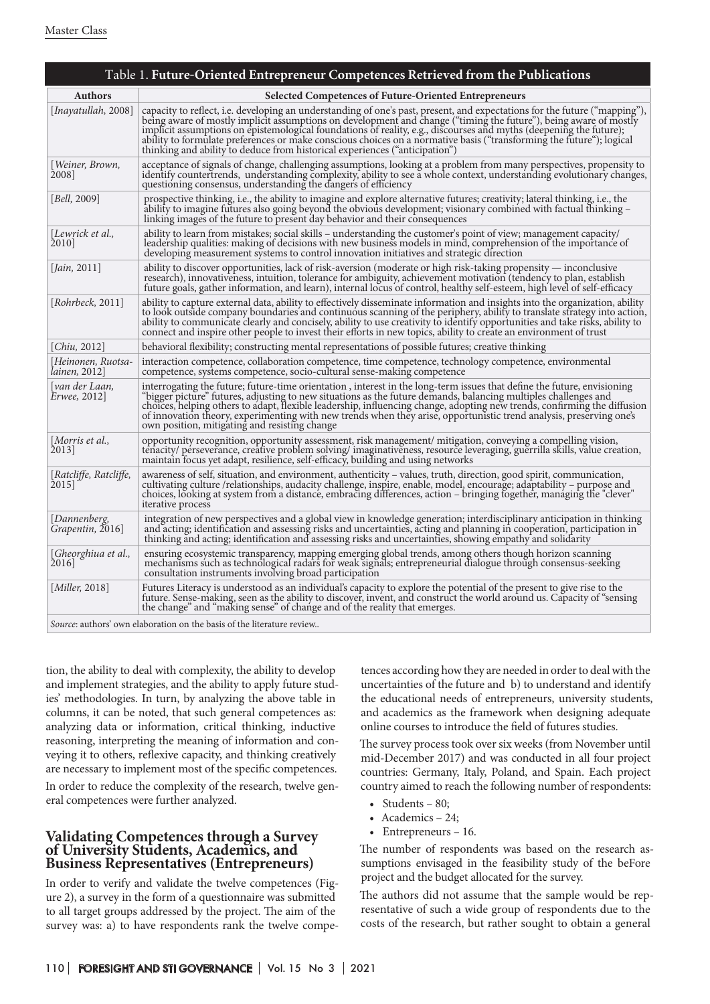|                                                                                | Table 1. Future-Oriented Entrepreneur Competences Retrieved from the Publications                                                                                                                                                                                                                                                                                                                                                                                                                                                                                            |  |  |  |
|--------------------------------------------------------------------------------|------------------------------------------------------------------------------------------------------------------------------------------------------------------------------------------------------------------------------------------------------------------------------------------------------------------------------------------------------------------------------------------------------------------------------------------------------------------------------------------------------------------------------------------------------------------------------|--|--|--|
| <b>Authors</b>                                                                 | <b>Selected Competences of Future-Oriented Entrepreneurs</b>                                                                                                                                                                                                                                                                                                                                                                                                                                                                                                                 |  |  |  |
| [Inayatullah, 2008]                                                            | capacity to reflect, i.e. developing an understanding of one's past, present, and expectations for the future ("mapping"),<br>being aware of mostly implicit assumptions on development and change ("timing the future"), being aware of mostly<br>implicit assumptions on epistemological foundations of reality, e.g., discourses and myths (deepening the future);<br>ability to formulate preferences or make conscious choices on a normative basis ("transforming the future"); logical<br>thinking and ability to deduce from historical experiences ("anticipation") |  |  |  |
| [Weiner, Brown,<br>2008]                                                       | acceptance of signals of change, challenging assumptions, looking at a problem from many perspectives, propensity to<br>identify countertrends, understanding complexity, ability to see a whole context, understanding evolutionary changes,<br>questioning consensus, understanding the dangers of efficiency                                                                                                                                                                                                                                                              |  |  |  |
| Bell, 2009                                                                     | prospective thinking, i.e., the ability to imagine and explore alternative futures; creativity; lateral thinking, i.e., the<br>ability to imagine futures also going beyond the obvious development; visionary combined with factual thinking –<br>linking images of the future to present day behavior and their consequences                                                                                                                                                                                                                                               |  |  |  |
| Lewrick et al.,<br>2010]                                                       | ability to learn from mistakes; social skills – understanding the customer's point of view; management capacity/<br>leadership qualities: making of decisions with new business models in mind, comprehension of the importance of<br>developing measurement systems to control innovation initiatives and strategic direction                                                                                                                                                                                                                                               |  |  |  |
| Jain, 2011                                                                     | ability to discover opportunities, lack of risk-aversion (moderate or high risk-taking propensity — inconclusive<br>research), innovativeness, intuition, tolerance for ambiguity, achievement motivation (tendency to plan, establish<br>future goals, gather information, and learn), internal locus of control, healthy self-esteem, high level of self-efficacy                                                                                                                                                                                                          |  |  |  |
| $\vert \mathit{Rohrbeck}, 2011 \vert$                                          | ability to capture external data, ability to effectively disseminate information and insights into the organization, ability<br>to look outside company boundaries and continuous scanning of the periphery, ability to translate strategy into action,<br>ability to communicate clearly and concisely, ability to use creativity to identify opportunities and take risks, ability to<br>connect and inspire other people to invest their efforts in new topics, ability to create an environment of trust                                                                 |  |  |  |
| Chiu, 2012                                                                     | behavioral flexibility; constructing mental representations of possible futures; creative thinking                                                                                                                                                                                                                                                                                                                                                                                                                                                                           |  |  |  |
| Heinonen, Ruotsa-<br>lainen, 2012                                              | interaction competence, collaboration competence, time competence, technology competence, environmental<br>competence, systems competence, socio-cultural sense-making competence                                                                                                                                                                                                                                                                                                                                                                                            |  |  |  |
| [van der Laan,<br>Erwee, 2012                                                  | interrogating the future; future-time orientation, interest in the long-term issues that define the future, envisioning<br>"bigger picture" futures, adjusting to new situations as the future demands, balancing multiples challenges and<br>choices, helping others to adapt, flexible leadership, influencing change, adopting new trends, confirming the diffusion<br>of innovation theory, experimenting with new trends when they arise, opportunistic trend analysis, preserving one's<br>own position, mitigating and resisting change                               |  |  |  |
| [Morris et al.,<br>2013                                                        | opportunity recognition, opportunity assessment, risk management/mitigation, conveying a compelling vision,<br>tenacity/ perseverance, creative problem solving/ imaginativeness, resource leveraging, guerrilla skills, value creation,<br>maintain focus yet adapt, resilience, self-efficacy, building and using networks                                                                                                                                                                                                                                                 |  |  |  |
| [Ratcliffe, Ratcliffe,<br>2015                                                 | awareness of self, situation, and environment, authenticity - values, truth, direction, good spirit, communication,<br>cultivating culture /relationships, audacity challenge, inspire, enable, model, encourage; adaptability – purpose and<br>choices, looking at system from a distance, embracing differences, action - bringing together, managing the "clever"<br>iterative process                                                                                                                                                                                    |  |  |  |
| Dannenberg,<br>Grapentin, 2016]                                                | integration of new perspectives and a global view in knowledge generation; interdisciplinary anticipation in thinking<br>and acting; identification and assessing risks and uncertainties, acting and planning in cooperation, participation in<br>thinking and acting; identification and assessing risks and uncertainties, showing empathy and solidarity                                                                                                                                                                                                                 |  |  |  |
| Gheorghiua et al.,<br>2016                                                     | ensuring ecosystemic transparency, mapping emerging global trends, among others though horizon scanning<br>mechanisms such as technological radars for weak signals; entrepreneurial dialogue through consensus-seeking<br>consultation instruments involving broad participation                                                                                                                                                                                                                                                                                            |  |  |  |
| [Miller, 2018]                                                                 | Futures Literacy is understood as an individual's capacity to explore the potential of the present to give rise to the<br>future. Sense-making, seen as the ability to discover, invent, and construct the world around us. Capacity of "sensing<br>the change" and "making sense" of change and of the reality that emerges.                                                                                                                                                                                                                                                |  |  |  |
| <i>Source</i> : authors' own elaboration on the basis of the literature review |                                                                                                                                                                                                                                                                                                                                                                                                                                                                                                                                                                              |  |  |  |

tion, the ability to deal with complexity, the ability to develop and implement strategies, and the ability to apply future studies' methodologies. In turn, by analyzing the above table in columns, it can be noted, that such general competences as: analyzing data or information, critical thinking, inductive reasoning, interpreting the meaning of information and conveying it to others, reflexive capacity, and thinking creatively are necessary to implement most of the specific competences.

In order to reduce the complexity of the research, twelve general competences were further analyzed.

## **Validating Competences through a Survey of University Students, Academics, and Business Representatives (Entrepreneurs)**

In order to verify and validate the twelve competences (Figure 2), a survey in the form of a questionnaire was submitted to all target groups addressed by the project. The aim of the survey was: a) to have respondents rank the twelve competences according how they are needed in order to deal with the uncertainties of the future and b) to understand and identify the educational needs of entrepreneurs, university students, and academics as the framework when designing adequate online courses to introduce the field of futures studies.

The survey process took over six weeks (from November until mid-December 2017) and was conducted in all four project countries: Germany, Italy, Poland, and Spain. Each project country aimed to reach the following number of respondents:

- Students  $80$ ;
- Academics 24;
- Entrepreneurs 16.

The number of respondents was based on the research assumptions envisaged in the feasibility study of the beFore project and the budget allocated for the survey.

The authors did not assume that the sample would be representative of such a wide group of respondents due to the costs of the research, but rather sought to obtain a general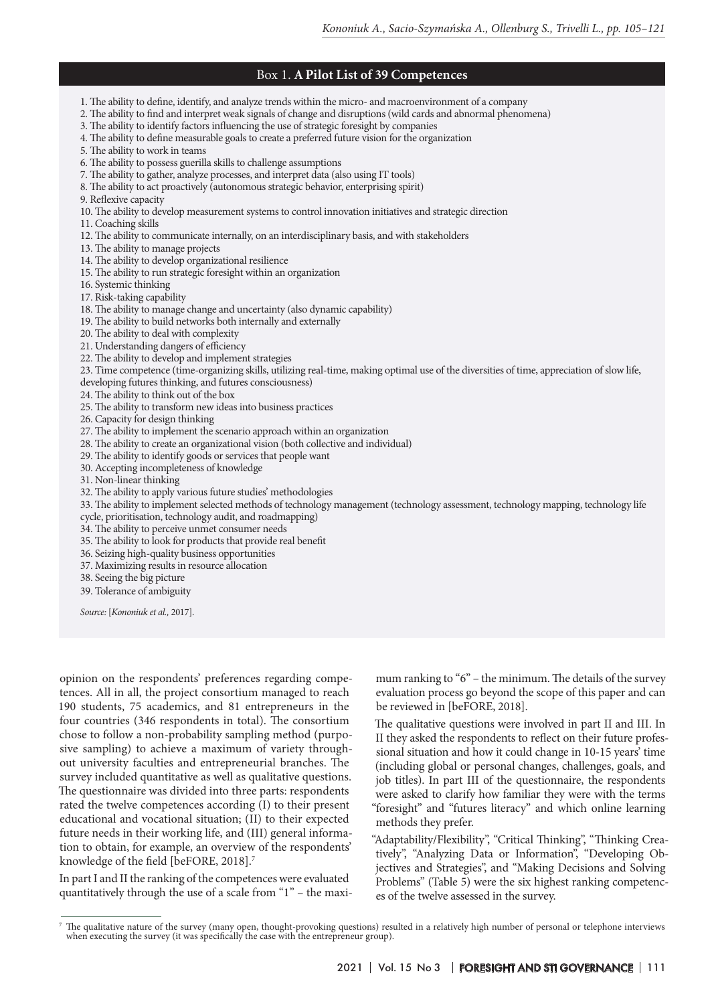## Box 1. **A Pilot List of 39 Competences**

1. The ability to define, identify, and analyze trends within the micro- and macroenvironment of a company

2. The ability to find and interpret weak signals of change and disruptions (wild cards and abnormal phenomena)

3. The ability to identify factors influencing the use of strategic foresight by companies

- 4. The ability to define measurable goals to create a preferred future vision for the organization
- 5. The ability to work in teams

6. The ability to possess guerilla skills to challenge assumptions

- 7. The ability to gather, analyze processes, and interpret data (also using IT tools)
- 8. The ability to act proactively (autonomous strategic behavior, enterprising spirit)

9. Reflexive capacity

10. The ability to develop measurement systems to control innovation initiatives and strategic direction

11. Coaching skills

- 12. The ability to communicate internally, on an interdisciplinary basis, and with stakeholders
- 13. The ability to manage projects
- 14. The ability to develop organizational resilience
- 15. The ability to run strategic foresight within an organization
- 16. Systemic thinking
- 17. Risk-taking capability
- 18. The ability to manage change and uncertainty (also dynamic capability)
- 19. The ability to build networks both internally and externally
- 20. The ability to deal with complexity
- 21. Understanding dangers of efficiency
- 22. The ability to develop and implement strategies

23. Time competence (time-organizing skills, utilizing real-time, making optimal use of the diversities of time, appreciation of slow life,

developing futures thinking, and futures consciousness)

- 24. The ability to think out of the box
- 25. The ability to transform new ideas into business practices
- 26. Capacity for design thinking
- 27. The ability to implement the scenario approach within an organization
- 28. The ability to create an organizational vision (both collective and individual)
- 29. The ability to identify goods or services that people want
- 30. Accepting incompleteness of knowledge
- 31. Non-linear thinking
- 32. The ability to apply various future studies' methodologies
- 33. The ability to implement selected methods of technology management (technology assessment, technology mapping, technology life
- cycle, prioritisation, technology audit, and roadmapping)
- 34. The ability to perceive unmet consumer needs
- 35. The ability to look for products that provide real benefit
- 36. Seizing high-quality business opportunities
- 37. Maximizing results in resource allocation
- 38. Seeing the big picture
- 39. Tolerance of ambiguity

*Source:* [*Kononiuk et al.,* 2017].

opinion on the respondents' preferences regarding competences. All in all, the project consortium managed to reach 190 students, 75 academics, and 81 entrepreneurs in the four countries (346 respondents in total). The consortium chose to follow a non-probability sampling method (purposive sampling) to achieve a maximum of variety throughout university faculties and entrepreneurial branches. The survey included quantitative as well as qualitative questions. The questionnaire was divided into three parts: respondents rated the twelve competences according (I) to their present educational and vocational situation; (II) to their expected future needs in their working life, and (III) general information to obtain, for example, an overview of the respondents' knowledge of the field [beFORE, 2018].7

In part I and II the ranking of the competences were evaluated quantitatively through the use of a scale from "1" – the maximum ranking to "6" – the minimum. The details of the survey evaluation process go beyond the scope of this paper and can be reviewed in [beFORE, 2018].

The qualitative questions were involved in part II and III. In II they asked the respondents to reflect on their future professional situation and how it could change in 10-15 years' time (including global or personal changes, challenges, goals, and job titles). In part III of the questionnaire, the respondents were asked to clarify how familiar they were with the terms "foresight" and "futures literacy" and which online learning methods they prefer.

"Adaptability/Flexibility", "Critical Thinking", "Thinking Creatively", "Analyzing Data or Information", "Developing Objectives and Strategies", and "Making Decisions and Solving Problems" (Table 5) were the six highest ranking competences of the twelve assessed in the survey.

<sup>7</sup> The qualitative nature of the survey (many open, thought-provoking questions) resulted in a relatively high number of personal or telephone interviews when executing the survey (it was specifically the case with the entrepreneur group).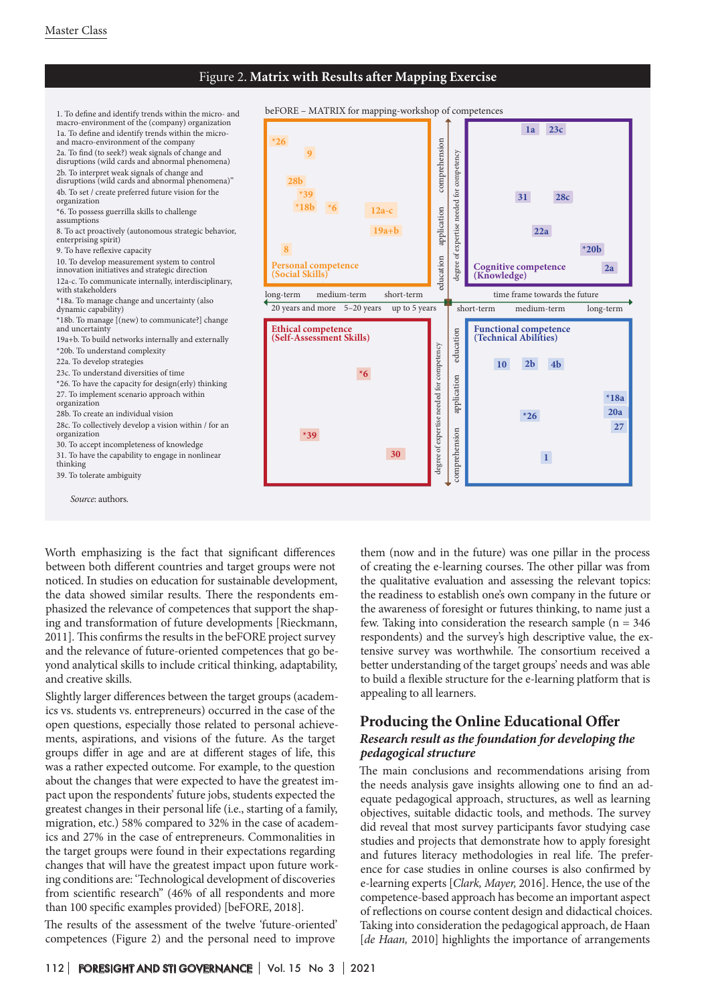## Figure 2. **Matrix with Results after Mapping Exercise**

*Source*: authors. 1. To define and identify trends within the micro- and macro-environment of the (company) organization 1a. To define and identify trends within the microand macro-environment of the company 2a. To find (to seek?) weak signals of change and disruptions (wild cards and abnormal phenomena) 2b. To interpret weak signals of change and disruptions (wild cards and abnormal phenomena)" 4b. To set / create preferred future vision for the organization \*6. To possess guerrilla skills to challenge assumptions 8. To act proactively (autonomous strategic behavior, enterprising spirit) 9. To have reflexive capacity 10. To develop measurement system to control innovation initiatives and strategic direction 12a-c. To communicate internally, interdisciplinary, with stakeholders \*18a. To manage change and uncertainty (also dynamic capability) \*18b. To manage [(new) to communicate?] change and uncertainty 19a+b. To build networks internally and externally \*20b. To understand complexity 22a. To develop strategies 23c. To understand diversities of time \*26. To have the capacity for design(erly) thinking 27. To implement scenario approach within organization 28b. To create an individual vision 28c. To collectively develop a vision within / for an organization 30. To accept incompleteness of knowledge 31. To have the capability to engage in nonlinear thinking 39. To tolerate ambiguity

Worth emphasizing is the fact that significant differences between both different countries and target groups were not noticed. In studies on education for sustainable development, the data showed similar results. There the respondents emphasized the relevance of competences that support the shaping and transformation of future developments [Rieckmann, 2011]. This confirms the results in the beFORE project survey and the relevance of future-oriented competences that go beyond analytical skills to include critical thinking, adaptability, and creative skills.

Slightly larger differences between the target groups (academics vs. students vs. entrepreneurs) occurred in the case of the open questions, especially those related to personal achievements, aspirations, and visions of the future. As the target groups differ in age and are at different stages of life, this was a rather expected outcome. For example, to the question about the changes that were expected to have the greatest impact upon the respondents' future jobs, students expected the greatest changes in their personal life (i.e., starting of a family, migration, etc.) 58% compared to 32% in the case of academics and 27% in the case of entrepreneurs. Commonalities in the target groups were found in their expectations regarding changes that will have the greatest impact upon future working conditions are: 'Technological development of discoveries from scientific research" (46% of all respondents and more than 100 specific examples provided) [beFORE, 2018].

The results of the assessment of the twelve 'future-oriented' competences (Figure 2) and the personal need to improve



them (now and in the future) was one pillar in the process of creating the e-learning courses. The other pillar was from the qualitative evaluation and assessing the relevant topics: the readiness to establish one's own company in the future or the awareness of foresight or futures thinking, to name just a few. Taking into consideration the research sample ( $n = 346$ ) respondents) and the survey's high descriptive value, the extensive survey was worthwhile. The consortium received a better understanding of the target groups' needs and was able to build a flexible structure for the e-learning platform that is appealing to all learners.

## **Producing the Online Educational Offer** *Research result as the foundation for developing the pedagogical structure*

The main conclusions and recommendations arising from the needs analysis gave insights allowing one to find an adequate pedagogical approach, structures, as well as learning objectives, suitable didactic tools, and methods. The survey did reveal that most survey participants favor studying case studies and projects that demonstrate how to apply foresight and futures literacy methodologies in real life. The preference for case studies in online courses is also confirmed by e-learning experts [*Clark, Mayer,* 2016]. Hence, the use of the competence-based approach has become an important aspect of reflections on course content design and didactical choices. Taking into consideration the pedagogical approach, de Haan [*de Haan,* 2010] highlights the importance of arrangements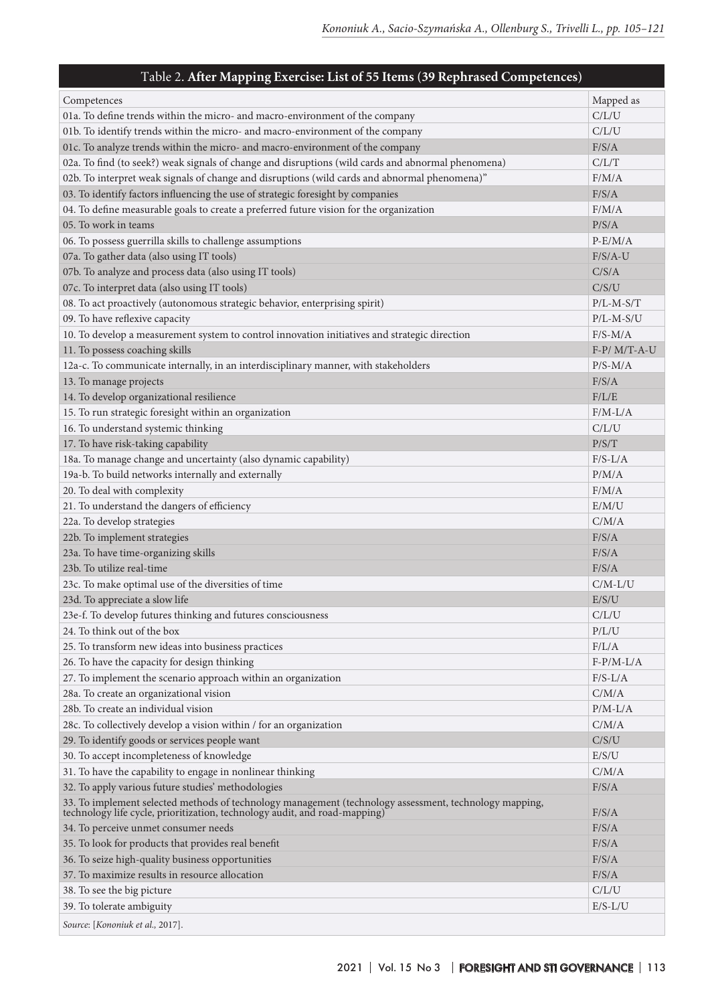## Таble 2. **After Mapping Exercise: List of 55 Items (39 Rephrased Competences)** Competences Mapped as a set of the competence of the competences of the competences of the competences of the competence of the competence of the competence of the competence of the competence of the competence of the comp 01a. To define trends within the micro- and macro-environment of the company C/L/U 01b. To identify trends within the micro- and macro-environment of the company C/L/U 01c. To analyze trends within the micro- and macro-environment of the company F/S/A 02a. To find (to seek?) weak signals of change and disruptions (wild cards and abnormal phenomena) C/L/T 02b. To interpret weak signals of change and disruptions (wild cards and abnormal phenomena)" F/M/A 03. To identify factors influencing the use of strategic foresight by companies F/S/A 04. To define measurable goals to create a preferred future vision for the organization  $F/M/A$ 05. To work in teams P/S/A 06. To possess guerrilla skills to challenge assumptions  $P-E/M/A$ 07a. To gather data (also using IT tools) **F/S/A-U** 07b. To analyze and process data (also using IT tools) C/S/A 07c. To interpret data (also using IT tools) C/S/U 08. To act proactively (autonomous strategic behavior, enterprising spirit) P/L-M-S/T 09. To have reflexive capacity **P/L-M-S/U** 10. To develop a measurement system to control innovation initiatives and strategic direction F/S-M/A 11. To possess coaching skills F-P/ M/T-A-U 12a-c. To communicate internally, in an interdisciplinary manner, with stakeholders P/S-M/A 13. To manage projects F/S/A 14. To develop organizational resilience F/L/E 15. To run strategic foresight within an organization F/M-L/A 16. To understand systemic thinking contact the contact of the contact of the contact of the contact of the contact of the contact of the contact of the contact of the contact of the contact of the contact of the contact o 17. To have risk-taking capability **P/S/T** and the set of the set of the set of the set of the set of the set of the set of the set of the set of the set of the set of the set of the set of the set of the set of the set of 18a. To manage change and uncertainty (also dynamic capability) F/S-L/A 19a-b. To build networks internally and externally and  $P/M/A$ 20. To deal with complexity example of the complexity of the complexity of the complexity of the complexity of the complexity of the complexity of the complexity of the complexity of the complexity of the complexity of the 21. To understand the dangers of efficiency E/M/U 22a. To develop strategies C/M/A 22b. To implement strategies F/S/A 23a. To have time-organizing skills F/S/A 23b. To utilize real-time **F/S/A** 23c. To make optimal use of the diversities of time C/M-L/U 23d. To appreciate a slow life E/S/U 23e-f. To develop futures thinking and futures consciousness C/L/U 24. To think out of the box  $P/L/U$ 25. To transform new ideas into business practices F/L/A 26. To have the capacity for design thinking T-P/M-L/A 27. To implement the scenario approach within an organization **F/S-L/A** 28a. To create an organizational vision C/M/A 28b. To create an individual vision **P/M-L/A** 28c. To collectively develop a vision within / for an organization C/M/A 29. To identify goods or services people want C/S/U 30. To accept incompleteness of knowledge E/S/U 31. To have the capability to engage in nonlinear thinking C/M/A 32. To apply various future studies' methodologies F/S/A 33. To implement selected methods of technology management (technology assessment, technology mapping, technology life cycle, prioritization, technology audit, and road-mapping) F/S/A 34. To perceive unmet consumer needs F/S/A 35. To look for products that provides real benefit F/S/A 36. To seize high-quality business opportunities F/S/A 37. To maximize results in resource allocation F/S/A 38. To see the big picture C/L/U 39. To tolerate ambiguity E/S-L/U

*Source*: [*Kononiuk et al.,* 2017].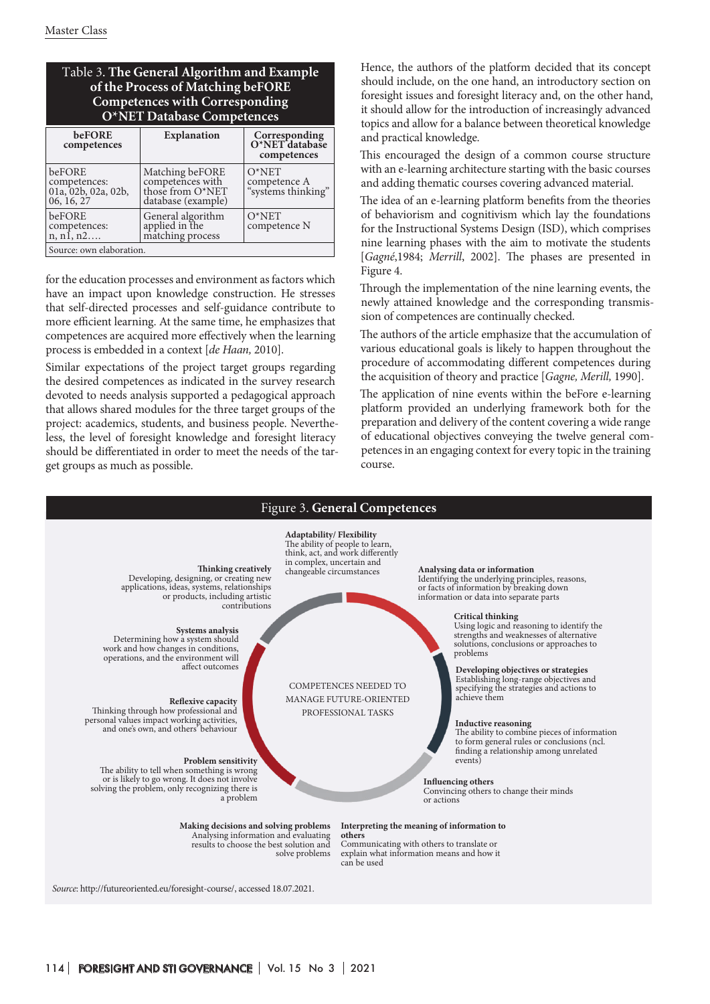| Table 3. The General Algorithm and Example |
|--------------------------------------------|
| of the Process of Matching beFORE          |
| Competences with Corresponding             |
| O*NET Database Competences                 |

| beFORE<br>competences                                       | <b>Explanation</b>                                                            | Corresponding<br>O*NET database<br>competences |  |  |  |
|-------------------------------------------------------------|-------------------------------------------------------------------------------|------------------------------------------------|--|--|--|
| beFORE<br>competences:<br>01a, 02b, 02a, 02b,<br>06, 16, 27 | Matching beFORE<br>competences with<br>those from O*NET<br>database (example) | $O^*NET$<br>competence A<br>"systems thinking" |  |  |  |
| beFORE<br>competences:<br>n, n1, n2                         | General algorithm<br>applied in the<br>matching process                       | $O^*NET$<br>competence N                       |  |  |  |
| Source: own elaboration.                                    |                                                                               |                                                |  |  |  |

for the education processes and environment as factors which have an impact upon knowledge construction. He stresses that self-directed processes and self-guidance contribute to more efficient learning. At the same time, he emphasizes that competences are acquired more effectively when the learning process is embedded in a context [*de Haan,* 2010].

Similar expectations of the project target groups regarding the desired competences as indicated in the survey research devoted to needs analysis supported a pedagogical approach that allows shared modules for the three target groups of the project: academics, students, and business people. Nevertheless, the level of foresight knowledge and foresight literacy should be differentiated in order to meet the needs of the target groups as much as possible.

Hence, the authors of the platform decided that its concept should include, on the one hand, an introductory section on foresight issues and foresight literacy and, on the other hand, it should allow for the introduction of increasingly advanced topics and allow for a balance between theoretical knowledge and practical knowledge.

This encouraged the design of a common course structure with an e-learning architecture starting with the basic courses and adding thematic courses covering advanced material.

The idea of an e-learning platform benefits from the theories of behaviorism and cognitivism which lay the foundations for the Instructional Systems Design (ISD), which comprises nine learning phases with the aim to motivate the students [*Gagné*,1984; *Merrill*, 2002]. The phases are presented in Figure 4.

Through the implementation of the nine learning events, the newly attained knowledge and the corresponding transmission of competences are continually checked.

The authors of the article emphasize that the accumulation of various educational goals is likely to happen throughout the procedure of accommodating different competences during the acquisition of theory and practice [*Gagne, Merill,* 1990].

The application of nine events within the beFore e-learning platform provided an underlying framework both for the preparation and delivery of the content covering a wide range of educational objectives conveying the twelve general competences in an engaging context for every topic in the training course.

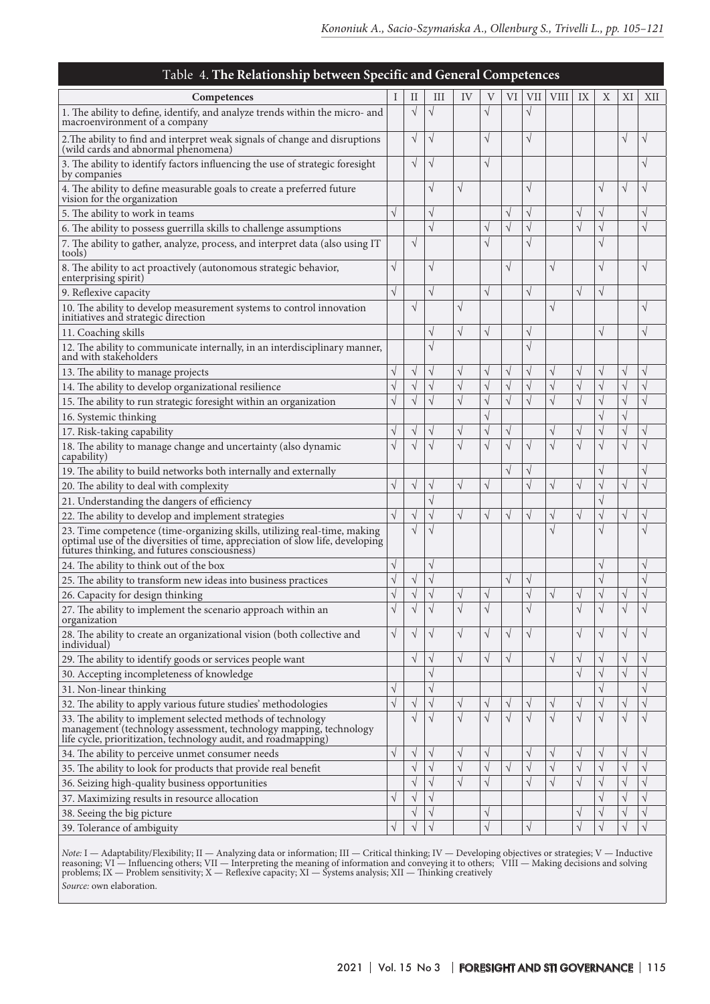| Table 4. The Relationship between Specific and General Competences                                                                                                                                  |           |            |           |           |               |            |            |             |            |               |           |           |
|-----------------------------------------------------------------------------------------------------------------------------------------------------------------------------------------------------|-----------|------------|-----------|-----------|---------------|------------|------------|-------------|------------|---------------|-----------|-----------|
| Competences                                                                                                                                                                                         |           | П          | Ш         | IV        | V             | VI         | VII        | <b>VIII</b> | IX         | Χ             | ΧI        | XII       |
| 1. The ability to define, identify, and analyze trends within the micro- and<br>macroenvironment of a company                                                                                       |           | $\sqrt{}$  |           |           | $\sqrt{}$     |            | $\sqrt{}$  |             |            |               |           |           |
| 2. The ability to find and interpret weak signals of change and disruptions<br>(wild cards and abnormal phenomena)                                                                                  |           | $\sqrt{ }$ | N         |           | $\sqrt{}$     |            | $\sqrt{}$  |             |            |               | $\sqrt{}$ |           |
| 3. The ability to identify factors influencing the use of strategic foresight<br>by companies                                                                                                       |           | $\sqrt{ }$ | V         |           | $\sqrt{}$     |            |            |             |            |               |           |           |
| 4. The ability to define measurable goals to create a preferred future<br>vision for the organization                                                                                               |           |            | V         | V         |               |            | $\sqrt{}$  |             |            | $\sqrt{}$     | V         | $\sqrt{}$ |
| 5. The ability to work in teams                                                                                                                                                                     | V         |            | N         |           |               | V          | $\sqrt{}$  |             | V          | V             |           |           |
| 6. The ability to possess guerrilla skills to challenge assumptions                                                                                                                                 |           |            | V         |           | V             | $\sqrt{}$  | $\sqrt{}$  |             | $\sqrt{ }$ | $\sqrt{}$     |           | $\sqrt{}$ |
| 7. The ability to gather, analyze, process, and interpret data (also using IT<br>tools)                                                                                                             |           | $\sqrt{ }$ |           |           | $\sqrt{}$     |            | $\sqrt{ }$ |             |            | $\sqrt{2}$    |           |           |
| 8. The ability to act proactively (autonomous strategic behavior,<br>enterprising spirit)                                                                                                           | $\sqrt{}$ |            | $\sqrt{}$ |           |               | $\sqrt{}$  |            | $\sqrt{}$   |            | $\sqrt{}$     |           | V         |
| 9. Reflexive capacity                                                                                                                                                                               | $\sqrt{}$ |            | $\sqrt{}$ |           | $\sqrt{}$     |            | $\sqrt{}$  |             | $\sqrt{}$  | $\sqrt{}$     |           |           |
| 10. The ability to develop measurement systems to control innovation<br>initiatives and strategic direction                                                                                         |           | $\sqrt{}$  |           | V         |               |            |            | $\sqrt{}$   |            |               |           |           |
| 11. Coaching skills                                                                                                                                                                                 |           |            | J         |           | $\sqrt{}$     |            | $\sqrt{}$  |             |            | $\sqrt{}$     |           |           |
| 12. The ability to communicate internally, in an interdisciplinary manner,<br>and with stakeholders                                                                                                 |           |            | V         |           |               |            | $\sqrt{}$  |             |            |               |           |           |
| 13. The ability to manage projects                                                                                                                                                                  | $\sqrt{}$ | $\sqrt{ }$ | V         | V         | V             | $\sqrt{ }$ | $\sqrt{}$  | $\sqrt{}$   | $\sqrt{}$  | V             |           | V         |
| 14. The ability to develop organizational resilience                                                                                                                                                | $\sqrt{}$ | $\sqrt{ }$ | N         | $\sqrt{}$ | $\sqrt{}$     | $\sqrt{}$  | $\sqrt{}$  | $\sqrt{}$   | $\sqrt{}$  | $\sqrt{}$     | V         | $\sqrt{}$ |
| 15. The ability to run strategic foresight within an organization                                                                                                                                   | $\sqrt{}$ | V          |           |           | $\sqrt{2}$    | $\sqrt{}$  | $\sqrt{}$  | $\sqrt{}$   | $\sqrt{}$  | V             | V         |           |
| 16. Systemic thinking                                                                                                                                                                               |           |            |           |           | $\sqrt{2}$    |            |            |             |            | $\sqrt{ }$    | V         |           |
| 17. Risk-taking capability                                                                                                                                                                          | $\sqrt{}$ | V          | V         | V         | J             | V          |            | $\sqrt{}$   | V          | V             |           |           |
| 18. The ability to manage change and uncertainty (also dynamic<br>capability)                                                                                                                       | $\sqrt{}$ | $\sqrt{ }$ |           |           | $\mathcal{L}$ | $\sqrt{}$  | $\sqrt{}$  | $\sqrt{}$   | $\sqrt{}$  | J             |           |           |
| 19. The ability to build networks both internally and externally                                                                                                                                    |           |            |           |           |               |            | V          |             |            | $\sqrt{}$     |           |           |
| 20. The ability to deal with complexity<br>V                                                                                                                                                        |           | V          | ٦         |           | $\sqrt{}$     |            | $\sqrt{}$  | $\sqrt{}$   | V          | $\sqrt{}$     | V         | $\sqrt{}$ |
| 21. Understanding the dangers of efficiency                                                                                                                                                         |           |            | J         |           |               |            |            |             |            | $\sqrt{}$     |           |           |
| 22. The ability to develop and implement strategies                                                                                                                                                 |           | $\sqrt{}$  | N         | V         | $\sqrt{}$     | $\sqrt{}$  | V          | $\sqrt{}$   |            | $\sqrt{}$     |           |           |
| 23. Time competence (time-organizing skills, utilizing real-time, making optimal use of the diversities of time, appreciation of slow life, developing futures thinking, and futures consciousness) |           | $\sqrt{ }$ | N         |           |               |            |            | $\sqrt{}$   |            | $\sqrt{2}$    |           |           |
| 24. The ability to think out of the box                                                                                                                                                             | V         |            | V         |           |               |            |            |             |            | V             |           | V         |
| 25. The ability to transform new ideas into business practices                                                                                                                                      | $\sqrt{}$ | V          | $\sqrt{}$ |           |               |            | $\sqrt{}$  |             |            | $\sqrt{}$     |           | V         |
| 26. Capacity for design thinking                                                                                                                                                                    | V         | V          | V         |           | ٦             |            | $\sqrt{ }$ | $\sqrt{2}$  |            | ٦             |           | V         |
| 27. The ability to implement the scenario approach within an<br>organization                                                                                                                        | $\sqrt{}$ | V          |           |           |               |            | $\sqrt{}$  |             |            | $\sqrt{2}$    |           |           |
| 28. The ability to create an organizational vision (both collective and<br>individual)                                                                                                              | $\sqrt{}$ | $\sqrt{ }$ | V         | V         | V             | $\sqrt{}$  | $\sqrt{ }$ |             | V          | $\sqrt{}$     | V         | V         |
| 29. The ability to identify goods or services people want                                                                                                                                           |           | $\sqrt{}$  | V         | $\sqrt{}$ | $\sqrt{}$     | $\sqrt{}$  |            | $\sqrt{}$   | V          | $\sqrt{}$     | V         |           |
| 30. Accepting incompleteness of knowledge                                                                                                                                                           |           |            | V         |           |               |            |            |             | $\sqrt{}$  | $\sqrt{}$     | V         |           |
| 31. Non-linear thinking                                                                                                                                                                             | $\sqrt{}$ |            | V         |           |               |            |            |             |            | $\sqrt{}$     |           |           |
| 32. The ability to apply various future studies' methodologies                                                                                                                                      | $\sqrt{}$ | V          | V         | V         | V             | V          | $\sqrt{}$  | $\sqrt{}$   | V          | $\sqrt{}$     | V         | V         |
| 33. The ability to implement selected methods of technology<br>management (technology assessment, technology mapping, technology<br>life cycle, prioritization, technology audit, and roadmapping)  |           | $\sqrt{ }$ | N         | V         | $\sqrt{}$     | $\sqrt{ }$ | $\sqrt{}$  | $\sqrt{}$   | $\sqrt{}$  | $\sqrt{}$     | V         | $\sqrt{}$ |
| 34. The ability to perceive unmet consumer needs                                                                                                                                                    | $\sqrt{}$ | $\sqrt{ }$ | V         | V         | $\sqrt{}$     |            | $\sqrt{}$  | $\sqrt{}$   | $\sqrt{}$  | $\sqrt{}$     | V         | $\sqrt{}$ |
| 35. The ability to look for products that provide real benefit                                                                                                                                      |           | $\sqrt{ }$ | N         | V         | $\sqrt{}$     | $\sqrt{}$  | $\sqrt{}$  | $\sqrt{}$   | $\sqrt{}$  | $\sqrt{}$     | V         |           |
| 36. Seizing high-quality business opportunities                                                                                                                                                     |           | $\sqrt{ }$ | N         | V         | $\sqrt{}$     |            | $\sqrt{}$  | $\sqrt{}$   | $\sqrt{}$  | $\sqrt{}$     | V         |           |
| 37. Maximizing results in resource allocation                                                                                                                                                       | $\sqrt{}$ | V          | N         |           |               |            |            |             |            | V             |           |           |
| 38. Seeing the big picture                                                                                                                                                                          |           | V          | N         |           | J             |            |            |             |            | $\mathcal{L}$ |           |           |
| 39. Tolerance of ambiguity                                                                                                                                                                          | $\sqrt{}$ | $\sqrt{ }$ | N         |           | $\sqrt{}$     |            | $\sqrt{}$  |             | $\sqrt{}$  |               |           | $\sqrt{}$ |

*Note:* I — Adaptability/Flexibility; II — Analyzing data or information; III — Critical thinking; IV — Developing objectives or strategies; V — Inductive reasoning; VI — Influencing others; VII — Interpreting the meaning of information and conveying it to others; VIII — Making decisions and solving problems; IX — Problem sensitivity; X — Reflexive capacity; XI — Systems analysis; XII — Thinking creatively

*Source:* own elaboration.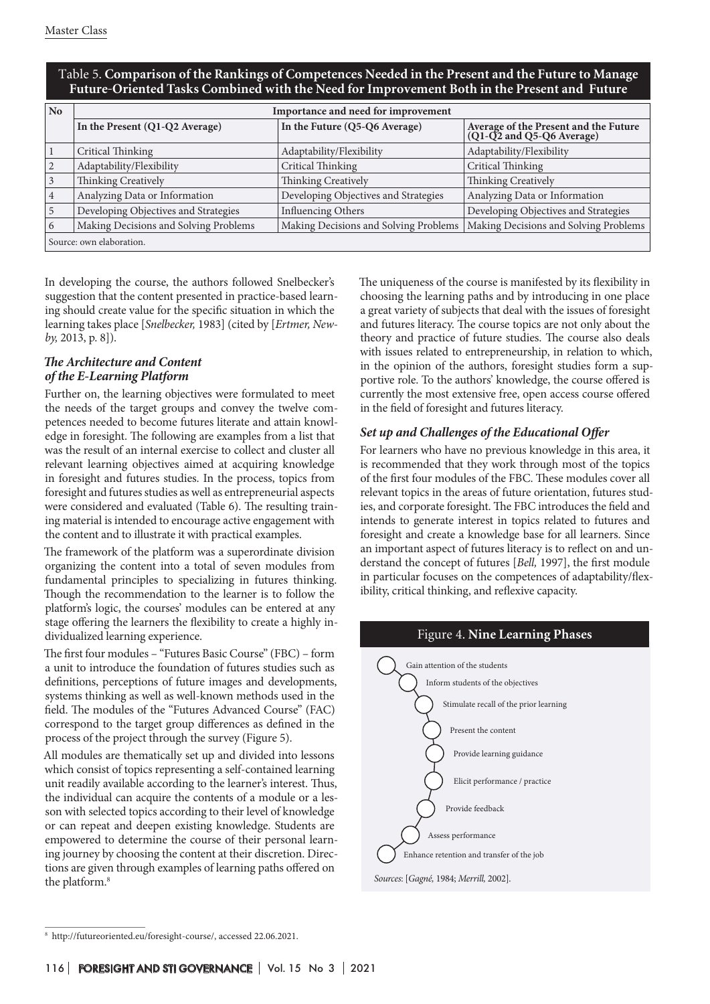| No.                      | Importance and need for improvement   |                                       |                                                                    |  |  |  |  |
|--------------------------|---------------------------------------|---------------------------------------|--------------------------------------------------------------------|--|--|--|--|
|                          | In the Present (Q1-Q2 Average)        | In the Future (Q5-Q6 Average)         | Average of the Present and the Future<br>(Q1-Q2 and Q5-Q6 Average) |  |  |  |  |
|                          | Critical Thinking                     | Adaptability/Flexibility              | Adaptability/Flexibility                                           |  |  |  |  |
|                          | Adaptability/Flexibility              | Critical Thinking                     | Critical Thinking                                                  |  |  |  |  |
| 3                        | Thinking Creatively                   | Thinking Creatively                   | Thinking Creatively                                                |  |  |  |  |
| 4                        | Analyzing Data or Information         | Developing Objectives and Strategies  | Analyzing Data or Information                                      |  |  |  |  |
| l 5                      | Developing Objectives and Strategies  | <b>Influencing Others</b>             | Developing Objectives and Strategies                               |  |  |  |  |
| 6                        | Making Decisions and Solving Problems | Making Decisions and Solving Problems | Making Decisions and Solving Problems                              |  |  |  |  |
| Source: own elaboration. |                                       |                                       |                                                                    |  |  |  |  |

## Таble 5. **Comparison of the Rankings of Competences Needed in the Present and the Future to Manage Future-Oriented Tasks Combined with the Need for Improvement Both in the Present and Future**

In developing the course, the authors followed Snelbecker's suggestion that the content presented in practice-based learning should create value for the specific situation in which the learning takes place [*Snelbecker,* 1983] (cited by [*Ertmer, Newby,* 2013, p. 8]).

## *The Architecture and Content of the E-Learning Platform*

Further on, the learning objectives were formulated to meet the needs of the target groups and convey the twelve competences needed to become futures literate and attain knowledge in foresight. The following are examples from a list that was the result of an internal exercise to collect and cluster all relevant learning objectives aimed at acquiring knowledge in foresight and futures studies. In the process, topics from foresight and futures studies as well as entrepreneurial aspects were considered and evaluated (Table 6). The resulting training material is intended to encourage active engagement with the content and to illustrate it with practical examples.

The framework of the platform was a superordinate division organizing the content into a total of seven modules from fundamental principles to specializing in futures thinking. Though the recommendation to the learner is to follow the platform's logic, the courses' modules can be entered at any stage offering the learners the flexibility to create a highly individualized learning experience.

The first four modules – "Futures Basic Course" (FBC) – form a unit to introduce the foundation of futures studies such as definitions, perceptions of future images and developments, systems thinking as well as well-known methods used in the field. The modules of the "Futures Advanced Course" (FAC) correspond to the target group differences as defined in the process of the project through the survey (Figure 5).

All modules are thematically set up and divided into lessons which consist of topics representing a self-contained learning unit readily available according to the learner's interest. Thus, the individual can acquire the contents of a module or a lesson with selected topics according to their level of knowledge or can repeat and deepen existing knowledge. Students are empowered to determine the course of their personal learning journey by choosing the content at their discretion. Directions are given through examples of learning paths offered on the platform.<sup>8</sup>

The uniqueness of the course is manifested by its flexibility in choosing the learning paths and by introducing in one place a great variety of subjects that deal with the issues of foresight and futures literacy. The course topics are not only about the theory and practice of future studies. The course also deals with issues related to entrepreneurship, in relation to which, in the opinion of the authors, foresight studies form a supportive role. To the authors' knowledge, the course offered is currently the most extensive free, open access course offered in the field of foresight and futures literacy.

## *Set up and Challenges of the Educational Offer*

For learners who have no previous knowledge in this area, it is recommended that they work through most of the topics of the first four modules of the FBC. These modules cover all relevant topics in the areas of future orientation, futures studies, and corporate foresight. The FBC introduces the field and intends to generate interest in topics related to futures and foresight and create a knowledge base for all learners. Since an important aspect of futures literacy is to reflect on and understand the concept of futures [*Bell,* 1997], the first module in particular focuses on the competences of adaptability/flexibility, critical thinking, and reflexive capacity.



<sup>8</sup> http://futureoriented.eu/foresight-course/, accessed 22.06.2021.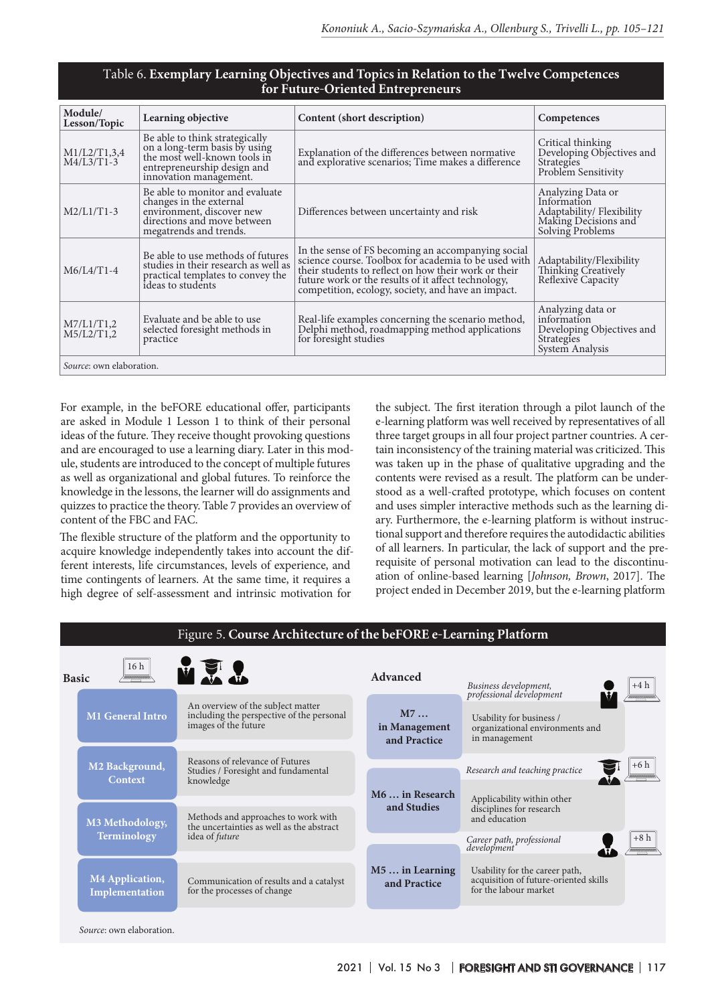#### Таble 6. **Exemplary Learning Objectives and Topics in Relation to the Twelve Competences for Future-Oriented Entrepreneurs**

| Module/<br>Lesson/Topic      | Learning objective                                                                                                                                       | Content (short description)                                                                                                                                                                                                                                                     | Competences                                                                                               |  |  |  |  |  |
|------------------------------|----------------------------------------------------------------------------------------------------------------------------------------------------------|---------------------------------------------------------------------------------------------------------------------------------------------------------------------------------------------------------------------------------------------------------------------------------|-----------------------------------------------------------------------------------------------------------|--|--|--|--|--|
| M1/L2/T1,3,4<br>$M4/L3/T1-3$ | Be able to think strategically<br>on a long-term basis by using<br>the most well-known tools in<br>entrepreneurship design and<br>innovation management. | Explanation of the differences between normative<br>and explorative scenarios; Time makes a difference                                                                                                                                                                          | Critical thinking<br>Developing Objectives and<br><b>Strategies</b><br>Problem Sensitivity                |  |  |  |  |  |
| $M2/L1/T1-3$                 | Be able to monitor and evaluate<br>changes in the external<br>environment, discover new<br>directions and move between<br>megatrends and trends.         | Differences between uncertainty and risk                                                                                                                                                                                                                                        | Analyzing Data or<br>Information<br>Adaptability/ Flexibility<br>Making Decisions and<br>Solving Problems |  |  |  |  |  |
| $M6/L4/T1-4$                 | Be able to use methods of futures<br>studies in their research as well as<br>practical templates to convey the<br>ideas to students                      | In the sense of FS becoming an accompanying social<br>science course. Toolbox for academia to be used with<br>their students to reflect on how their work or their<br>future work or the results of it affect technology,<br>competition, ecology, society, and have an impact. | Adaptability/Flexibility<br>Thinking Creatively<br>Reflexive Capacity                                     |  |  |  |  |  |
| M7/L1/T1,2<br>M5/L2/T1,2     | Evaluate and be able to use<br>selected foresight methods in<br>practice                                                                                 | Real-life examples concerning the scenario method,<br>Delphi method, roadmapping method applications<br>for foresight studies                                                                                                                                                   | Analyzing data or<br>information<br>Developing Objectives and<br>Strategies<br>System Analysis            |  |  |  |  |  |
|                              | Source: own elaboration.                                                                                                                                 |                                                                                                                                                                                                                                                                                 |                                                                                                           |  |  |  |  |  |

For example, in the beFORE educational offer, participants are asked in Module 1 Lesson 1 to think of their personal ideas of the future. They receive thought provoking questions and are encouraged to use a learning diary. Later in this module, students are introduced to the concept of multiple futures as well as organizational and global futures. To reinforce the knowledge in the lessons, the learner will do assignments and quizzes to practice the theory. Table 7 provides an overview of content of the FBC and FAC.

The flexible structure of the platform and the opportunity to acquire knowledge independently takes into account the different interests, life circumstances, levels of experience, and time contingents of learners. At the same time, it requires a high degree of self-assessment and intrinsic motivation for

the subject. The first iteration through a pilot launch of the e-learning platform was well received by representatives of all three target groups in all four project partner countries. A certain inconsistency of the training material was criticized. This was taken up in the phase of qualitative upgrading and the contents were revised as a result. The platform can be understood as a well-crafted prototype, which focuses on content and uses simpler interactive methods such as the learning diary. Furthermore, the e-learning platform is without instructional support and therefore requires the autodidactic abilities of all learners. In particular, the lack of support and the prerequisite of personal motivation can lead to the discontinuation of online-based learning [*Johnson, Brown*, 2017]. The project ended in December 2019, but the e-learning platform

|              | Figure 5. Course Architecture of the beFORE e-Learning Platform |                                                                                                        |                                     |                                                                                                  |  |  |  |  |
|--------------|-----------------------------------------------------------------|--------------------------------------------------------------------------------------------------------|-------------------------------------|--------------------------------------------------------------------------------------------------|--|--|--|--|
| <b>Basic</b> | 16h                                                             | MER                                                                                                    | Advanced                            | Business development,<br>professional development<br>$+4 h$                                      |  |  |  |  |
|              | <b>M1 General Intro</b>                                         | An overview of the subJect matter<br>including the perspective of the personal<br>images of the future | M7<br>in Management<br>and Practice | Usability for business /<br>organizational environments and<br>in management                     |  |  |  |  |
|              | M <sub>2</sub> Background,                                      | Reasons of relevance of Futures<br>Studies / Foresight and fundamental                                 |                                     | $+6h$<br>Research and teaching practice                                                          |  |  |  |  |
|              | Context                                                         | knowledge                                                                                              | M6  in Research                     | Applicability within other                                                                       |  |  |  |  |
|              | M3 Methodology,                                                 | Methods and approaches to work with<br>the uncertainties as well as the abstract                       | and Studies                         | disciplines for research<br>and education                                                        |  |  |  |  |
|              | Terminology                                                     | idea of future                                                                                         |                                     | $+8h$<br>Career path, professional<br>development                                                |  |  |  |  |
|              | <b>M4 Application,</b><br>Implementation                        | Communication of results and a catalyst<br>for the processes of change                                 | $M5$ in Learning<br>and Practice    | Usability for the career path,<br>acquisition of future-oriented skills<br>for the labour market |  |  |  |  |
|              | Source: own elaboration.                                        |                                                                                                        |                                     |                                                                                                  |  |  |  |  |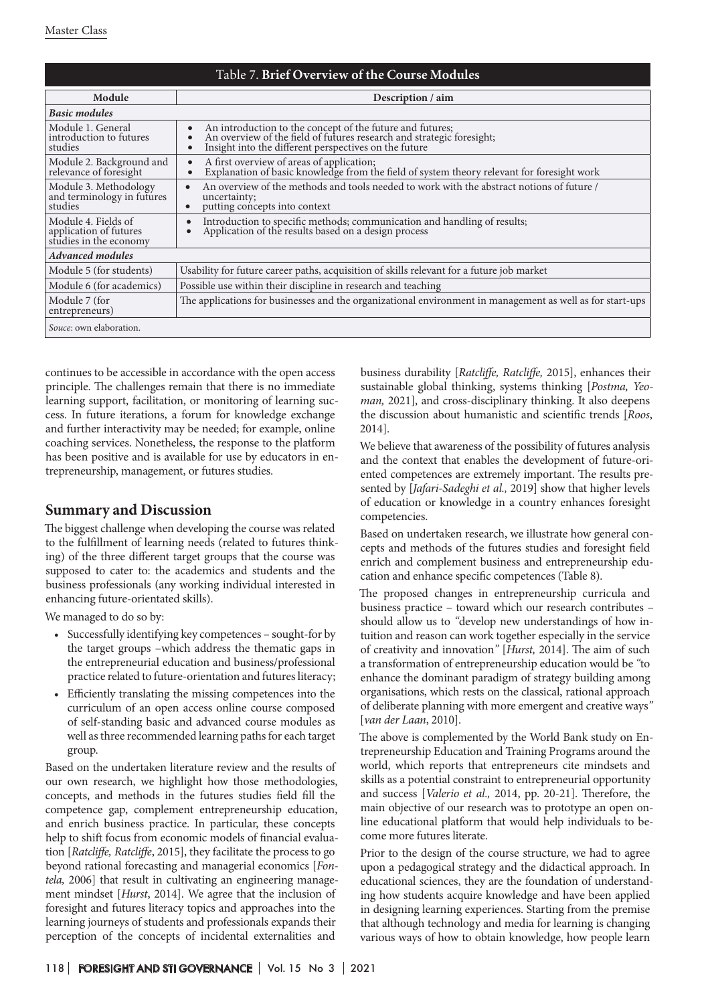| Table 7. Brief Overview of the Course Modules                           |                                                                                                                                                                                             |  |  |  |  |
|-------------------------------------------------------------------------|---------------------------------------------------------------------------------------------------------------------------------------------------------------------------------------------|--|--|--|--|
| Module                                                                  | Description / aim                                                                                                                                                                           |  |  |  |  |
| <b>Basic modules</b>                                                    |                                                                                                                                                                                             |  |  |  |  |
| Module 1. General<br>introduction to futures<br>studies                 | An introduction to the concept of the future and futures;<br>An overview of the field of futures research and strategic foresight;<br>Insight into the different perspectives on the future |  |  |  |  |
| Module 2. Background and<br>relevance of foresight                      | A first overview of areas of application;<br>Explanation of basic knowledge from the field of system theory relevant for foresight work                                                     |  |  |  |  |
| Module 3. Methodology<br>and terminology in futures<br>studies          | An overview of the methods and tools needed to work with the abstract notions of future /<br>uncertainty;<br>putting concepts into context                                                  |  |  |  |  |
| Module 4. Fields of<br>application of futures<br>studies in the economy | Introduction to specific methods; communication and handling of results;<br>Application of the results based on a design process                                                            |  |  |  |  |
| <b>Advanced modules</b>                                                 |                                                                                                                                                                                             |  |  |  |  |
| Module 5 (for students)                                                 | Usability for future career paths, acquisition of skills relevant for a future job market                                                                                                   |  |  |  |  |
| Module 6 (for academics)                                                | Possible use within their discipline in research and teaching                                                                                                                               |  |  |  |  |
| Module 7 (for<br>entrepreneurs)                                         | The applications for businesses and the organizational environment in management as well as for start-ups                                                                                   |  |  |  |  |
| Souce: own elaboration.                                                 |                                                                                                                                                                                             |  |  |  |  |

continues to be accessible in accordance with the open access principle. The challenges remain that there is no immediate learning support, facilitation, or monitoring of learning success. In future iterations, a forum for knowledge exchange and further interactivity may be needed; for example, online coaching services. Nonetheless, the response to the platform has been positive and is available for use by educators in entrepreneurship, management, or futures studies.

# **Summary and Discussion**

The biggest challenge when developing the course was related to the fulfillment of learning needs (related to futures thinking) of the three different target groups that the course was supposed to cater to: the academics and students and the business professionals (any working individual interested in enhancing future-orientated skills).

We managed to do so by:

- • Successfully identifying key competences sought-for by the target groups –which address the thematic gaps in the entrepreneurial education and business/professional practice related to future-orientation and futures literacy;
- Efficiently translating the missing competences into the curriculum of an open access online course composed of self-standing basic and advanced course modules as well as three recommended learning paths for each target group.

Based on the undertaken literature review and the results of our own research, we highlight how those methodologies, concepts, and methods in the futures studies field fill the competence gap, complement entrepreneurship education, and enrich business practice. In particular, these concepts help to shift focus from economic models of financial evaluation [*Ratcliffe, Ratcliffe*, 2015], they facilitate the process to go beyond rational forecasting and managerial economics [*Fontela,* 2006] that result in cultivating an engineering management mindset [*Hurst*, 2014]. We agree that the inclusion of foresight and futures literacy topics and approaches into the learning journeys of students and professionals expands their perception of the concepts of incidental externalities and

business durability [*Ratcliffe, Ratcliffe,* 2015], enhances their sustainable global thinking, systems thinking [*Postma, Yeoman,* 2021], and cross-disciplinary thinking. It also deepens the discussion about humanistic and scientific trends [*Roos*, 2014].

We believe that awareness of the possibility of futures analysis and the context that enables the development of future-oriented competences are extremely important. The results presented by [*Jafari-Sadeghi et al.,* 2019] show that higher levels of education or knowledge in a country enhances foresight competencies.

Based on undertaken research, we illustrate how general concepts and methods of the futures studies and foresight field enrich and complement business and entrepreneurship education and enhance specific competences (Table 8).

The proposed changes in entrepreneurship curricula and business practice – toward which our research contributes – should allow us to *"*develop new understandings of how intuition and reason can work together especially in the service of creativity and innovation*"* [*Hurst,* 2014]. The aim of such a transformation of entrepreneurship education would be *"*to enhance the dominant paradigm of strategy building among organisations, which rests on the classical, rational approach of deliberate planning with more emergent and creative ways*"* [*van der Laan*, 2010].

The above is complemented by the World Bank study on Entrepreneurship Education and Training Programs around the world, which reports that entrepreneurs cite mindsets and skills as a potential constraint to entrepreneurial opportunity and success [*Valerio et al.,* 2014, pp. 20-21]. Therefore, the main objective of our research was to prototype an open online educational platform that would help individuals to become more futures literate.

Prior to the design of the course structure, we had to agree upon a pedagogical strategy and the didactical approach. In educational sciences, they are the foundation of understanding how students acquire knowledge and have been applied in designing learning experiences. Starting from the premise that although technology and media for learning is changing various ways of how to obtain knowledge, how people learn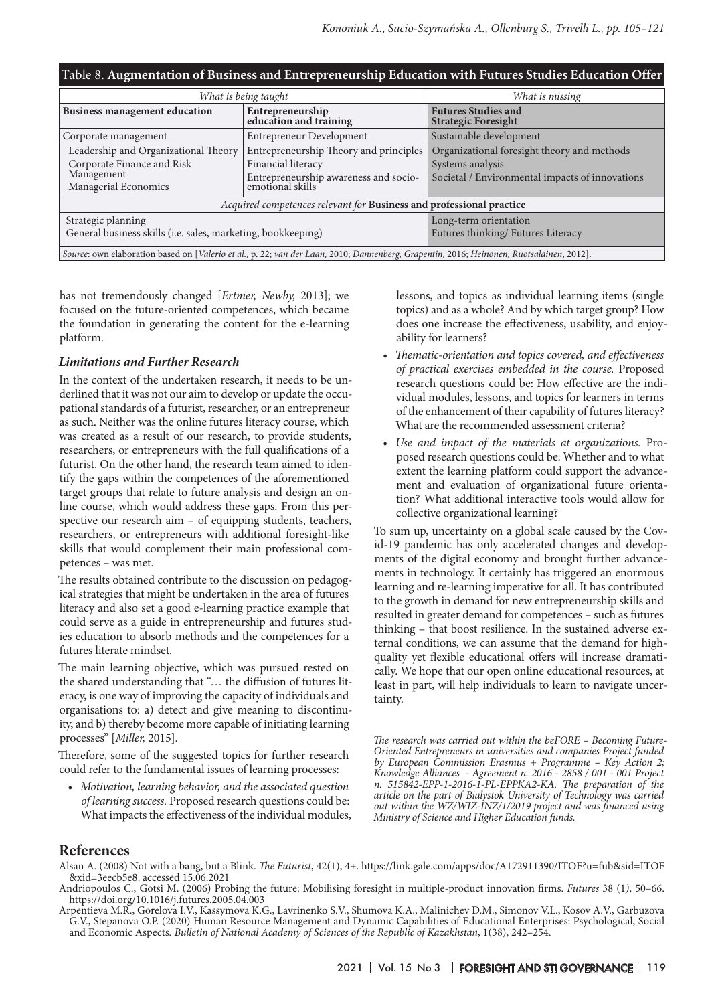| Table 8. Augmentation of Business and Entrepreneurship Education with Futures Studies Education Offer                                    |                                                                                                                           |                                                                                                                    |  |  |  |  |
|------------------------------------------------------------------------------------------------------------------------------------------|---------------------------------------------------------------------------------------------------------------------------|--------------------------------------------------------------------------------------------------------------------|--|--|--|--|
| What is being taught                                                                                                                     | What is missing                                                                                                           |                                                                                                                    |  |  |  |  |
| <b>Business management education</b>                                                                                                     | Entrepreneurship<br>education and training                                                                                | <b>Futures Studies and</b><br><b>Strategic Foresight</b>                                                           |  |  |  |  |
| Corporate management                                                                                                                     | Entrepreneur Development                                                                                                  | Sustainable development                                                                                            |  |  |  |  |
| Leadership and Organizational Theory<br>Corporate Finance and Risk<br>Management<br>Managerial Economics                                 | Entrepreneurship Theory and principles<br>Financial literacy<br>Entrepreneurship awareness and socio-<br>emotional skills | Organizational foresight theory and methods<br>Systems analysis<br>Societal / Environmental impacts of innovations |  |  |  |  |
| Acquired competences relevant for Business and professional practice                                                                     |                                                                                                                           |                                                                                                                    |  |  |  |  |
| Strategic planning<br>General business skills (i.e. sales, marketing, bookkeeping)                                                       | Long-term orientation<br>Futures thinking/ Futures Literacy                                                               |                                                                                                                    |  |  |  |  |
| Source: own elaboration based on [Valerio et al., p. 22; van der Laan, 2010; Dannenberg, Grapentin, 2016; Heinonen, Ruotsalainen, 2012]. |                                                                                                                           |                                                                                                                    |  |  |  |  |

has not tremendously changed [*Ertmer, Newby,* 2013]; we focused on the future-oriented competences, which became the foundation in generating the content for the e-learning platform.

#### *Limitations and Further Research*

In the context of the undertaken research, it needs to be underlined that it was not our aim to develop or update the occupational standards of a futurist, researcher, or an entrepreneur as such. Neither was the online futures literacy course, which was created as a result of our research, to provide students, researchers, or entrepreneurs with the full qualifications of a futurist. On the other hand, the research team aimed to identify the gaps within the competences of the aforementioned target groups that relate to future analysis and design an online course, which would address these gaps. From this perspective our research aim – of equipping students, teachers, researchers, or entrepreneurs with additional foresight-like skills that would complement their main professional competences – was met.

The results obtained contribute to the discussion on pedagogical strategies that might be undertaken in the area of futures literacy and also set a good e-learning practice example that could serve as a guide in entrepreneurship and futures studies education to absorb methods and the competences for a futures literate mindset.

The main learning objective, which was pursued rested on the shared understanding that "… the diffusion of futures literacy, is one way of improving the capacity of individuals and organisations to: a) detect and give meaning to discontinuity, and b) thereby become more capable of initiating learning processes" [*Miller,* 2015].

Therefore, some of the suggested topics for further research could refer to the fundamental issues of learning processes:

*• Motivation, learning behavior, and the associated question of learning success.* Proposed research questions could be: What impacts the effectiveness of the individual modules, lessons, and topics as individual learning items (single topics) and as a whole? And by which target group? How does one increase the effectiveness, usability, and enjoyability for learners?

- *• Thematic-orientation and topics covered, and effectiveness of practical exercises embedded in the course.* Proposed research questions could be: How effective are the individual modules, lessons, and topics for learners in terms of the enhancement of their capability of futures literacy? What are the recommended assessment criteria?
- *• Use and impact of the materials at organizations.* Proposed research questions could be: Whether and to what extent the learning platform could support the advancement and evaluation of organizational future orientation? What additional interactive tools would allow for collective organizational learning?

To sum up, uncertainty on a global scale caused by the Covid-19 pandemic has only accelerated changes and developments of the digital economy and brought further advancements in technology. It certainly has triggered an enormous learning and re-learning imperative for all. It has contributed to the growth in demand for new entrepreneurship skills and resulted in greater demand for competences – such as futures thinking – that boost resilience. In the sustained adverse external conditions, we can assume that the demand for highquality yet flexible educational offers will increase dramatically. We hope that our open online educational resources, at least in part, will help individuals to learn to navigate uncertainty.

*The research was carried out within the beFORE – Becoming Future-Oriented Entrepreneurs in universities and companies Project funded by European Commission Erasmus + Programme – Key Action 2; Knowledge Alliances - Agreement n. 2016 - 2858 / 001 - 001 Project n. 515842-EPP-1-2016-1-PL-EPPKA2-KA. The preparation of the article on the part of Bialystok University of Technology was carried out within the WZ/WIZ-INZ/1/2019 project and was financed using Ministry of Science and Higher Education funds.* 

## **References**

- Alsan A. (2008) Not with a bang, but a Blink. *The Futurist*, 42(1), 4+. https://link.gale.com/apps/doc/A172911390/ITOF?u=fub&sid=ITOF &xid=3eecb5e8, accessed 15.06.2021
- Andriopoulos C., Gotsi M. (2006) Probing the future: Mobilising foresight in multiple-product innovation firms. *Futures* 38 (1*)*, 50–66. https://doi.org/10.1016/j.futures.2005.04.003
- Arpentieva M.R., Gorelova I.V., Kassymova K.G., Lavrinenko S.V., Shumova K.A., Malinichev D.M., Simonov V.L., Kosov A.V., Garbuzova G.V., Stepanova O.P. (2020) Human Resource Management and Dynamic Capabilities of Educational Enterprises: Psychological, Social and Economic Aspects*. Bulletin of National Academy of Sciences of the Republic of Kazakhstan*, 1(38), 242–254.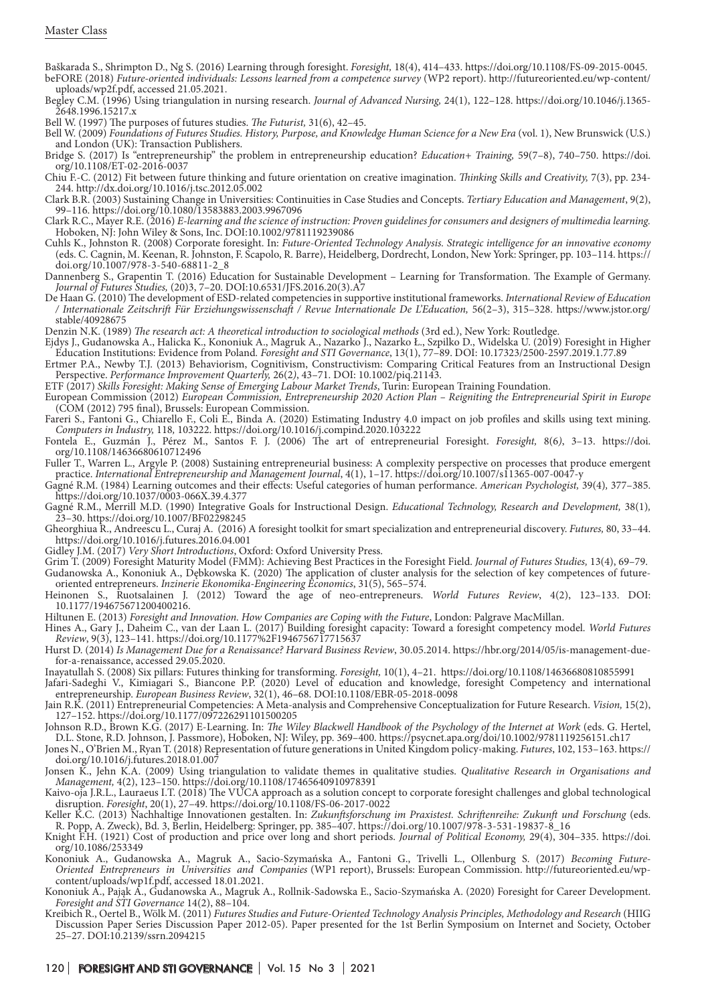Baškarada S., Shrimpton D., Ng S. (2016) Learning through foresight. *Foresight,* 18(4), 414–433. https://doi.org/10.1108/FS-09-2015-0045. beFORE (2018) *Future-oriented individuals: Lessons learned from a competence survey* (WP2 report). http://futureoriented.eu/wp-content/ uploads/wp2f.pdf, accessed 21.05.2021.

Begley C.M. (1996) Using triangulation in nursing research. *Journal of Advanced Nursing,* 24(1), 122–128. https://doi.org/10.1046/j.1365- 2648.1996.15217.x

Bell W. (1997) The purposes of futures studies. *The Futurist,* 31(6), 42–45.

Bell W. (2009) *Foundations of Futures Studies. History, Purpose, and Knowledge Human Science for a New Era* (vol. 1), New Brunswick (U.S.) and London (UK): Transaction Publishers.

Bridge S. (2017) Is "entrepreneurship" the problem in entrepreneurship education? *Education+ Training,* 59(7–8), 740–750. https://doi. org/10.1108/ET-02-2016-0037

Chiu F.-C. (2012) Fit between future thinking and future orientation on creative imagination. *Thinking Skills and Creativity,* 7(3), pp. 234- 244. http://dx.doi.org/10.1016/j.tsc.2012.05.002

Clark B.R. (2003) Sustaining Change in Universities: Continuities in Case Studies and Concepts. *Tertiary Education and Management*, 9(2), 99–116. https://doi.org/10.1080/13583883.2003.9967096

Clark R.C., Mayer R.E. (2016) *E-learning and the science of instruction: Proven guidelines for consumers and designers of multimedia learning.* Hoboken, NJ: John Wiley & Sons, Inc. DOI:10.1002/9781119239086

Cuhls K., Johnston R. (2008) Corporate foresight. In: *Future-Oriented Technology Analysis. Strategic intelligence for an innovative economy* (eds. C. Cagnin, M. Keenan, R. Johnston, F. Scapolo, R. Barre), Heidelberg, Dordrecht, London, New York: Springer, pp. 103–114. https:// doi.org/10.1007/978-3-540-68811-2\_8

Dannenberg S., Grapentin T. (2016) Education for Sustainable Development – Learning for Transformation. The Example of Germany. *Journal of Futures Studies,* (20)3, 7–20. DOI:10.6531/JFS.2016.20(3).A7

De Haan G. (2010) The development of ESD-related competencies in supportive institutional frameworks. *International Review of Education / Internationale Zeitschrift Für Erziehungswissenschaft / Revue Internationale De L'Education,* 56(2–3), 315–328. https://www.jstor.org/ stable/40928675

Denzin N.K. (1989) *The research act: A theoretical introduction to sociological methods* (3rd ed.), New York: Routledge.

Ejdys J., Gudanowska A., Halicka K., Kononiuk A., Magruk A., Nazarko J., Nazarko Ł., Szpilko D., Widelska U. (2019) Foresight in Higher Education Institutions: Evidence from Poland*. Foresight and STI Governance*, 13(1), 77–89. DOI: 10.17323/2500-2597.2019.1.77.89

Ertmer P.A., Newby T.J. (2013) Behaviorism, Cognitivism, Constructivism: Comparing Critical Features from an Instructional Design Perspective. *Performance Improvement Quarterly,* 26(2*)*, 43–71. DOI: 10.1002/piq.21143.

ETF (2017) *Skills Foresight: Making Sense of Emerging Labour Market Trends*, Turin: European Training Foundation.

European Commission (2012) *European Commission, Entrepreneurship 2020 Action Plan – Reigniting the Entrepreneurial Spirit in Europe* (COM (2012) 795 final), Brussels: European Commission.

Fareri S., Fantoni G., Chiarello F., Coli E., Binda A. (2020) Estimating Industry 4.0 impact on job profiles and skills using text mining. *Computers in Industry,* 118*,* 103222. https://doi.org/10.1016/j.compind.2020.103222

Fontela E., Guzmán J., Pérez M., Santos F. J. (2006) The art of entrepreneurial Foresight. *Foresight,* 8(6*)*, 3–13. https://doi. org/10.1108/14636680610712496

Fuller T., Warren L., Argyle P. (2008) Sustaining entrepreneurial business: A complexity perspective on processes that produce emergent practice. *International Entrepreneurship and Management Journal*, 4(1), 1–17. https://doi.org/10.1007/s11365-007-0047-y

Gagné R.M. (1984) Learning outcomes and their effects: Useful categories of human performance. *American Psychologist,* 39(4)*,* 377–385. https://doi.org/10.1037/0003-066X.39.4.377

Gagné R.M., Merrill M.D. (1990) Integrative Goals for Instructional Design. *Educational Technology, Research and Development,* 38(1)*,* 23–30. https://doi.org/10.1007/BF02298245

Gheorghiua R., Andreescu L., Curaj A. (2016) A foresight toolkit for smart specialization and entrepreneurial discovery. *Futures,* 80, 33–44. https://doi.org/10.1016/j.futures.2016.04.001

Gidley J.M. (2017) *Very Short Introductions*, Oxford: Oxford University Press.

Grim T. (2009) Foresight Maturity Model (FMM): Achieving Best Practices in the Foresight Field. *Journal of Futures Studies,* 13(4), 69–79. Gudanowska A., Kononiuk A., Dębkowska K. (2020) The application of cluster analysis for the selection of key competences of futureoriented entrepreneurs. *Inzinerie Ekonomika-Engineering Economics*, 31(5), 565–574.

Heinonen S., Ruotsalainen J. (2012) Toward the age of neo-entrepreneurs. *World Futures Review*, 4(2), 123–133. DOI: 10.1177/194675671200400216.

Hiltunen E. (2013) *Foresight and Innovation. How Companies are Coping with the Future*, London: Palgrave MacMillan.

Hines A., Gary J., Daheim C., van der Laan L. (2017) Building foresight capacity: Toward a foresight competency model. *World Futures Review*, 9(3), 123–141. https://doi.org/10.1177%2F1946756717715637

Hurst D. (2014) *Is Management Due for a Renaissance? Harvard Business Review*, 30.05.2014. https://hbr.org/2014/05/is-management-duefor-a-renaissance, accessed 29.05.2020.

Inayatullah S. (2008) Six pillars: Futures thinking for transforming. *Foresight,* 10(1), 4–21. https://doi.org/10.1108/14636680810855991

Jafari-Sadeghi V., Kimiagari S., Biancone P.P. (2020) Level of education and knowledge, foresight Competency and international

entrepreneurship. *European Business Review*, 32(1), 46–68. DOI:10.1108/EBR-05-2018-0098

Jain R.K. (2011) Entrepreneurial Competencies: A Meta-analysis and Comprehensive Conceptualization for Future Research. *Vision,* 15(2), 127–152. https://doi.org/10.1177/097226291101500205

Johnson R.D., Brown K.G. (2017) E‐Learning. In: *The Wiley Blackwell Handbook of the Psychology of the Internet at Work* (eds. G. Hertel, D.L. Stone, R.D. Johnson, J. Passmore), Hoboken, NJ: Wiley, pp. 369–400. https://psycnet.apa.org/doi/10.1002/9781119256151.ch17

Jones N., O'Brien M., Ryan T. (2018) Representation of future generations in United Kingdom policy-making. *Futures*, 102, 153–163. https:// doi.org/10.1016/j.futures.2018.01.007

Jonsen K., Jehn K.A. (2009) Using triangulation to validate themes in qualitative studies. *Qualitative Research in Organisations and Management,* 4(2), 123–150. https://doi.org/10.1108/17465640910978391

Kaivo-oja J.R.L., Lauraeus I.T. (2018) The VUCA approach as a solution concept to corporate foresight challenges and global technological disruption. *Foresight*, 20(1), 27–49. https://doi.org/10.1108/FS-06-2017-0022

Keller K.C. (2013) Nachhaltige Innovationen gestalten. In: *Zukunftsforschung im Praxistest. Schriftenreihe: Zukunft und Forschung* (eds. R. Popp, A. Zweck), Bd. 3, Berlin, Heidelberg: Springer, pp. 385–407. https://doi.org/10.1007/978-3-531-19837-8\_16

Knight F.H. (1921) Cost of production and price over long and short periods. *Journal of Political Economy,* 29(4), 304–335. https://doi. org/10.1086/253349

Kononiuk A., Gudanowska A., Magruk A., Sacio-Szymańska A., Fantoni G., Trivelli L., Ollenburg S. (2017) *Becoming Future-Oriented Entrepreneurs in Universities and Companies* (WP1 report), Brussels: European Commission. http://futureoriented.eu/wpcontent/uploads/wp1f.pdf, accessed 18.01.2021.

Kononiuk A., Pająk A., Gudanowska A., Magruk A., Rollnik-Sadowska E., Sacio-Szymańska A. (2020) Foresight for Career Development. *Foresight and STI Governance* 14(2), 88–104.

Kreibich R., Oertel B., Wölk M. (2011) *Futures Studies and Future-Oriented Technology Analysis Principles, Methodology and Research* (HIIG Discussion Paper Series Discussion Paper 2012-05). Paper presented for the 1st Berlin Symposium on Internet and Society, October 25–27. DOI:10.2139/ssrn.2094215